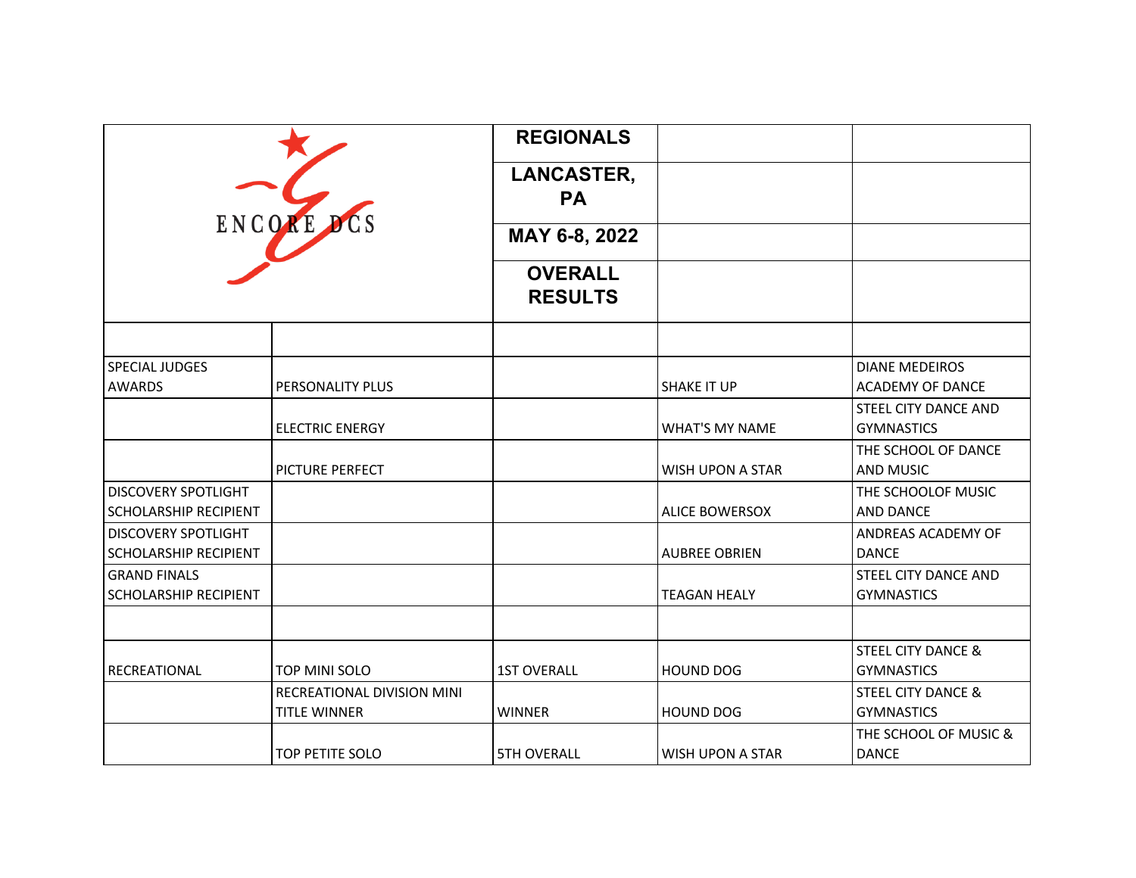|                                                            |                                                   | <b>REGIONALS</b>                 |                         |                                                    |
|------------------------------------------------------------|---------------------------------------------------|----------------------------------|-------------------------|----------------------------------------------------|
|                                                            |                                                   | LANCASTER,<br><b>PA</b>          |                         |                                                    |
|                                                            | ENCORE DCS                                        | MAY 6-8, 2022                    |                         |                                                    |
|                                                            |                                                   | <b>OVERALL</b><br><b>RESULTS</b> |                         |                                                    |
|                                                            |                                                   |                                  |                         |                                                    |
| SPECIAL JUDGES<br><b>AWARDS</b>                            | PERSONALITY PLUS                                  |                                  | <b>SHAKE IT UP</b>      | <b>DIANE MEDEIROS</b><br><b>ACADEMY OF DANCE</b>   |
|                                                            | <b>ELECTRIC ENERGY</b>                            |                                  | <b>WHAT'S MY NAME</b>   | STEEL CITY DANCE AND<br><b>GYMNASTICS</b>          |
|                                                            | PICTURE PERFECT                                   |                                  | WISH UPON A STAR        | THE SCHOOL OF DANCE<br><b>AND MUSIC</b>            |
| <b>DISCOVERY SPOTLIGHT</b><br><b>SCHOLARSHIP RECIPIENT</b> |                                                   |                                  | <b>ALICE BOWERSOX</b>   | THE SCHOOLOF MUSIC<br>AND DANCE                    |
| <b>DISCOVERY SPOTLIGHT</b><br>SCHOLARSHIP RECIPIENT        |                                                   |                                  | <b>AUBREE OBRIEN</b>    | ANDREAS ACADEMY OF<br><b>DANCE</b>                 |
| <b>GRAND FINALS</b><br>SCHOLARSHIP RECIPIENT               |                                                   |                                  | <b>TEAGAN HEALY</b>     | STEEL CITY DANCE AND<br><b>GYMNASTICS</b>          |
|                                                            |                                                   |                                  |                         |                                                    |
| RECREATIONAL                                               | TOP MINI SOLO                                     | <b>1ST OVERALL</b>               | <b>HOUND DOG</b>        | <b>STEEL CITY DANCE &amp;</b><br><b>GYMNASTICS</b> |
|                                                            | RECREATIONAL DIVISION MINI<br><b>TITLE WINNER</b> | <b>WINNER</b>                    | <b>HOUND DOG</b>        | <b>STEEL CITY DANCE &amp;</b><br><b>GYMNASTICS</b> |
|                                                            | TOP PETITE SOLO                                   | <b>5TH OVERALL</b>               | <b>WISH UPON A STAR</b> | THE SCHOOL OF MUSIC &<br><b>DANCE</b>              |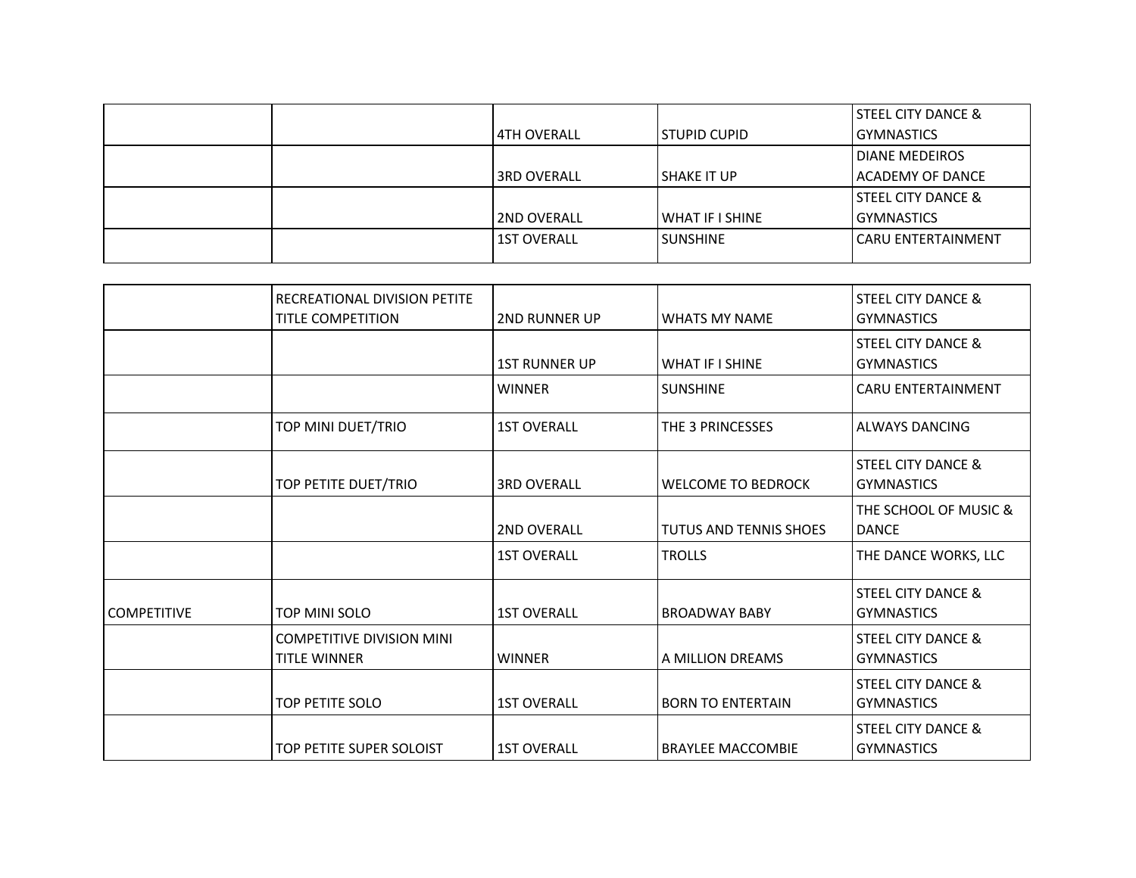|  |                    |                    | l STEEL CITY DANCE &          |
|--|--------------------|--------------------|-------------------------------|
|  | <b>4TH OVERALL</b> | STUPID CUPID       | <b>GYMNASTICS</b>             |
|  |                    |                    | <b>DIANE MEDEIROS</b>         |
|  | I3RD OVERALL       | <b>SHAKE IT UP</b> | LACADEMY OF DANCE             |
|  |                    |                    | <b>STEEL CITY DANCE &amp;</b> |
|  | l2ND OVERALL       | I WHAT IF I SHINE  | <b>GYMNASTICS</b>             |
|  | l 1ST OVERALL      | <b>SUNSHINE</b>    | <b>CARU ENTERTAINMENT</b>     |
|  |                    |                    |                               |

|                    | RECREATIONAL DIVISION PETITE<br>TITLE COMPETITION       | <b>2ND RUNNER UP</b> | <b>WHATS MY NAME</b>          | STEEL CITY DANCE &<br><b>GYMNASTICS</b> |
|--------------------|---------------------------------------------------------|----------------------|-------------------------------|-----------------------------------------|
|                    |                                                         | <b>1ST RUNNER UP</b> | <b>WHAT IF I SHINE</b>        | STEEL CITY DANCE &<br><b>GYMNASTICS</b> |
|                    |                                                         | <b>WINNER</b>        | <b>SUNSHINE</b>               | <b>CARU ENTERTAINMENT</b>               |
|                    | TOP MINI DUET/TRIO                                      | <b>1ST OVERALL</b>   | THE 3 PRINCESSES              | <b>ALWAYS DANCING</b>                   |
|                    | TOP PETITE DUET/TRIO                                    | <b>3RD OVERALL</b>   | <b>WELCOME TO BEDROCK</b>     | STEEL CITY DANCE &<br><b>GYMNASTICS</b> |
|                    |                                                         | 2ND OVERALL          | <b>TUTUS AND TENNIS SHOES</b> | THE SCHOOL OF MUSIC &<br><b>DANCE</b>   |
|                    |                                                         | <b>1ST OVERALL</b>   | <b>TROLLS</b>                 | THE DANCE WORKS, LLC                    |
| <b>COMPETITIVE</b> | TOP MINI SOLO                                           | <b>1ST OVERALL</b>   | <b>BROADWAY BABY</b>          | STEEL CITY DANCE &<br><b>GYMNASTICS</b> |
|                    | <b>COMPETITIVE DIVISION MINI</b><br><b>TITLE WINNER</b> | <b>WINNER</b>        | A MILLION DREAMS              | STEEL CITY DANCE &<br><b>GYMNASTICS</b> |
|                    | TOP PETITE SOLO                                         | <b>1ST OVERALL</b>   | <b>BORN TO ENTERTAIN</b>      | STEEL CITY DANCE &<br><b>GYMNASTICS</b> |
|                    | TOP PETITE SUPER SOLOIST                                | <b>1ST OVERALL</b>   | <b>BRAYLEE MACCOMBIE</b>      | STEEL CITY DANCE &<br><b>GYMNASTICS</b> |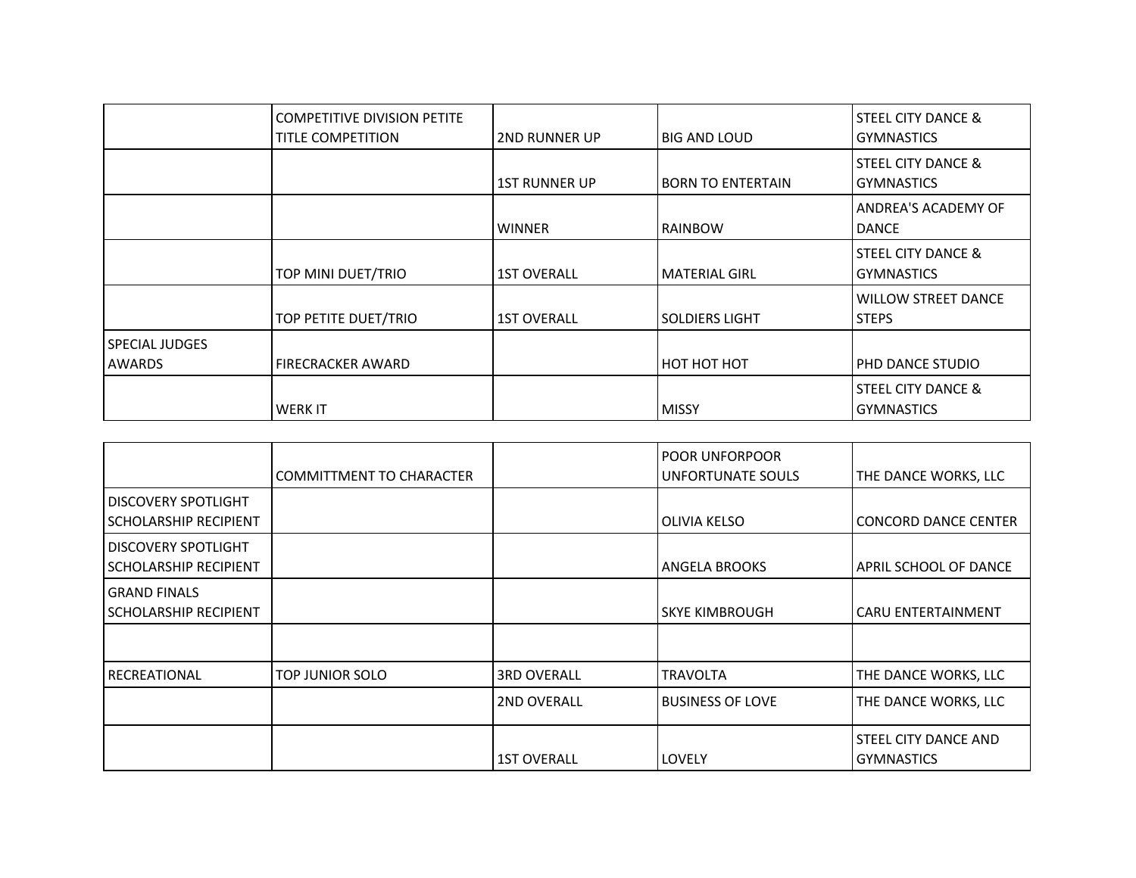|                                 | <b>COMPETITIVE DIVISION PETITE</b><br>TITLE COMPETITION | <b>2ND RUNNER UP</b> | <b>BIG AND LOUD</b>      | l STEEL CITY DANCE &<br><b>GYMNASTICS</b>          |
|---------------------------------|---------------------------------------------------------|----------------------|--------------------------|----------------------------------------------------|
|                                 |                                                         | <b>1ST RUNNER UP</b> | <b>BORN TO ENTERTAIN</b> | <b>STEEL CITY DANCE &amp;</b><br><b>GYMNASTICS</b> |
|                                 |                                                         | <b>WINNER</b>        | <b>RAINBOW</b>           | ANDREA'S ACADEMY OF<br><b>DANCE</b>                |
|                                 | TOP MINI DUET/TRIO                                      | <b>1ST OVERALL</b>   | <b>MATERIAL GIRL</b>     | <b>STEEL CITY DANCE &amp;</b><br><b>GYMNASTICS</b> |
|                                 | TOP PETITE DUET/TRIO                                    | <b>1ST OVERALL</b>   | <b>SOLDIERS LIGHT</b>    | <b>WILLOW STREET DANCE</b><br><b>STEPS</b>         |
| SPECIAL JUDGES<br><b>AWARDS</b> | <b>FIRECRACKER AWARD</b>                                |                      | <b>HOT HOT HOT</b>       | PHD DANCE STUDIO                                   |
|                                 | <b>WERK IT</b>                                          |                      | <b>MISSY</b>             | <b>STEEL CITY DANCE &amp;</b><br><b>GYMNASTICS</b> |

|                                                            | <b>COMMITTMENT TO CHARACTER</b> |                    | <b>POOR UNFORPOOR</b><br>UNFORTUNATE SOULS | THE DANCE WORKS, LLC                             |
|------------------------------------------------------------|---------------------------------|--------------------|--------------------------------------------|--------------------------------------------------|
| <b>DISCOVERY SPOTLIGHT</b><br><b>SCHOLARSHIP RECIPIENT</b> |                                 |                    | OLIVIA KELSO                               | <b>CONCORD DANCE CENTER</b>                      |
| <b>DISCOVERY SPOTLIGHT</b><br><b>SCHOLARSHIP RECIPIENT</b> |                                 |                    | <b>ANGELA BROOKS</b>                       | APRIL SCHOOL OF DANCE                            |
| <b>GRAND FINALS</b><br><b>SCHOLARSHIP RECIPIENT</b>        |                                 |                    | <b>SKYE KIMBROUGH</b>                      | <b>CARU ENTERTAINMENT</b>                        |
|                                                            |                                 |                    |                                            |                                                  |
| RECREATIONAL                                               | TOP JUNIOR SOLO                 | <b>3RD OVERALL</b> | <b>TRAVOLTA</b>                            | THE DANCE WORKS, LLC                             |
|                                                            |                                 | <b>2ND OVERALL</b> | <b>BUSINESS OF LOVE</b>                    | THE DANCE WORKS, LLC                             |
|                                                            |                                 | <b>1ST OVERALL</b> | LOVELY                                     | <b>STEEL CITY DANCE AND</b><br><b>GYMNASTICS</b> |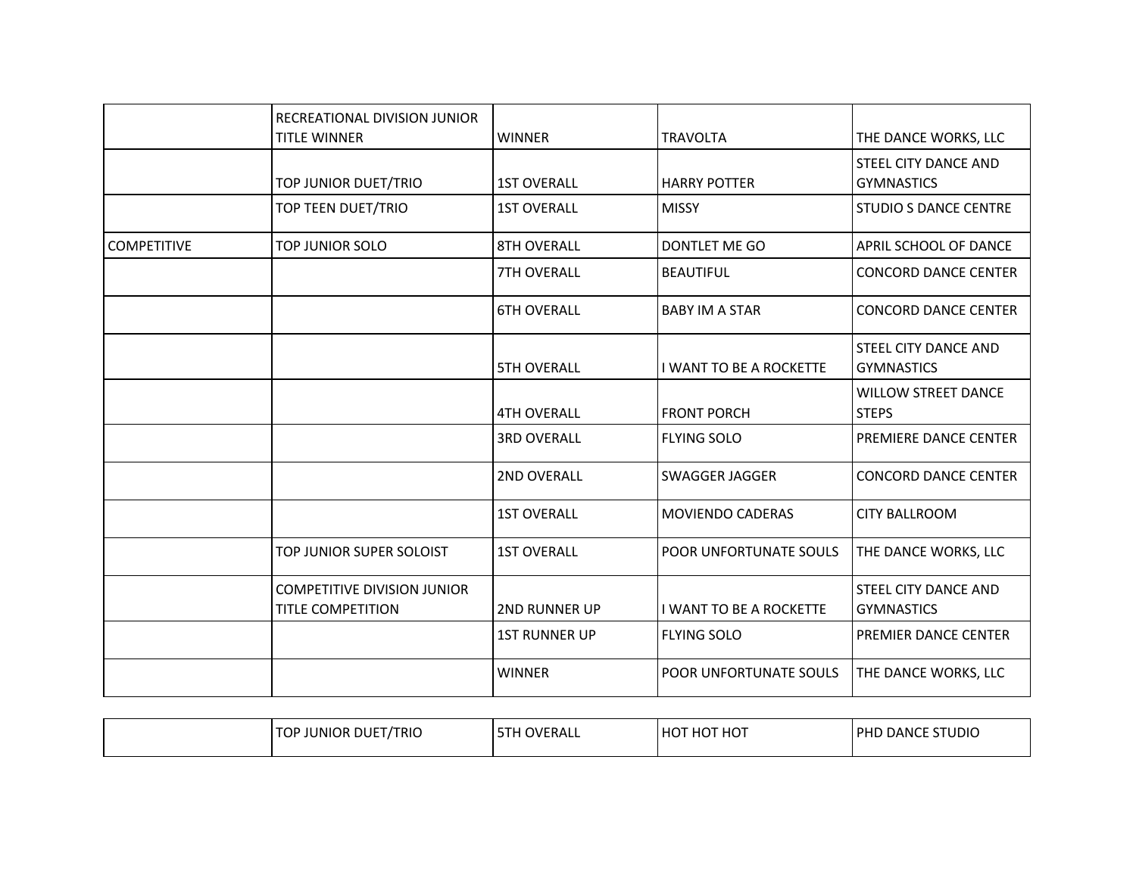|                    | RECREATIONAL DIVISION JUNIOR<br><b>TITLE WINNER</b>            | <b>WINNER</b>        | <b>TRAVOLTA</b>         | THE DANCE WORKS, LLC                       |
|--------------------|----------------------------------------------------------------|----------------------|-------------------------|--------------------------------------------|
|                    | TOP JUNIOR DUET/TRIO                                           | <b>1ST OVERALL</b>   | <b>HARRY POTTER</b>     | STEEL CITY DANCE AND<br><b>GYMNASTICS</b>  |
|                    | TOP TEEN DUET/TRIO                                             | <b>1ST OVERALL</b>   | <b>MISSY</b>            | <b>STUDIO S DANCE CENTRE</b>               |
| <b>COMPETITIVE</b> | TOP JUNIOR SOLO                                                | 8TH OVERALL          | <b>DONTLET ME GO</b>    | APRIL SCHOOL OF DANCE                      |
|                    |                                                                | <b>7TH OVERALL</b>   | <b>BEAUTIFUL</b>        | <b>CONCORD DANCE CENTER</b>                |
|                    |                                                                | <b>6TH OVERALL</b>   | <b>BABY IM A STAR</b>   | <b>CONCORD DANCE CENTER</b>                |
|                    |                                                                | <b>5TH OVERALL</b>   | I WANT TO BE A ROCKETTE | STEEL CITY DANCE AND<br><b>GYMNASTICS</b>  |
|                    |                                                                | <b>4TH OVERALL</b>   | <b>FRONT PORCH</b>      | <b>WILLOW STREET DANCE</b><br><b>STEPS</b> |
|                    |                                                                | <b>3RD OVERALL</b>   | <b>FLYING SOLO</b>      | PREMIERE DANCE CENTER                      |
|                    |                                                                | 2ND OVERALL          | SWAGGER JAGGER          | <b>CONCORD DANCE CENTER</b>                |
|                    |                                                                | <b>1ST OVERALL</b>   | MOVIENDO CADERAS        | <b>CITY BALLROOM</b>                       |
|                    | TOP JUNIOR SUPER SOLOIST                                       | <b>1ST OVERALL</b>   | POOR UNFORTUNATE SOULS  | THE DANCE WORKS, LLC                       |
|                    | <b>COMPETITIVE DIVISION JUNIOR</b><br><b>TITLE COMPETITION</b> | 2ND RUNNER UP        | I WANT TO BE A ROCKETTE | STEEL CITY DANCE AND<br><b>GYMNASTICS</b>  |
|                    |                                                                | <b>1ST RUNNER UP</b> | <b>FLYING SOLO</b>      | PREMIER DANCE CENTER                       |
|                    |                                                                | <b>WINNER</b>        | POOR UNFORTUNATE SOULS  | THE DANCE WORKS, LLC                       |

| нот нот<br><b>JUNIOR DUET/TRIO</b><br>DANCE STUDIO<br>тнот<br>OVERALL<br>ਾ <sup>D</sup> H∟ _<br>۱H۲۳ د<br>TOP. |  |
|----------------------------------------------------------------------------------------------------------------|--|
|----------------------------------------------------------------------------------------------------------------|--|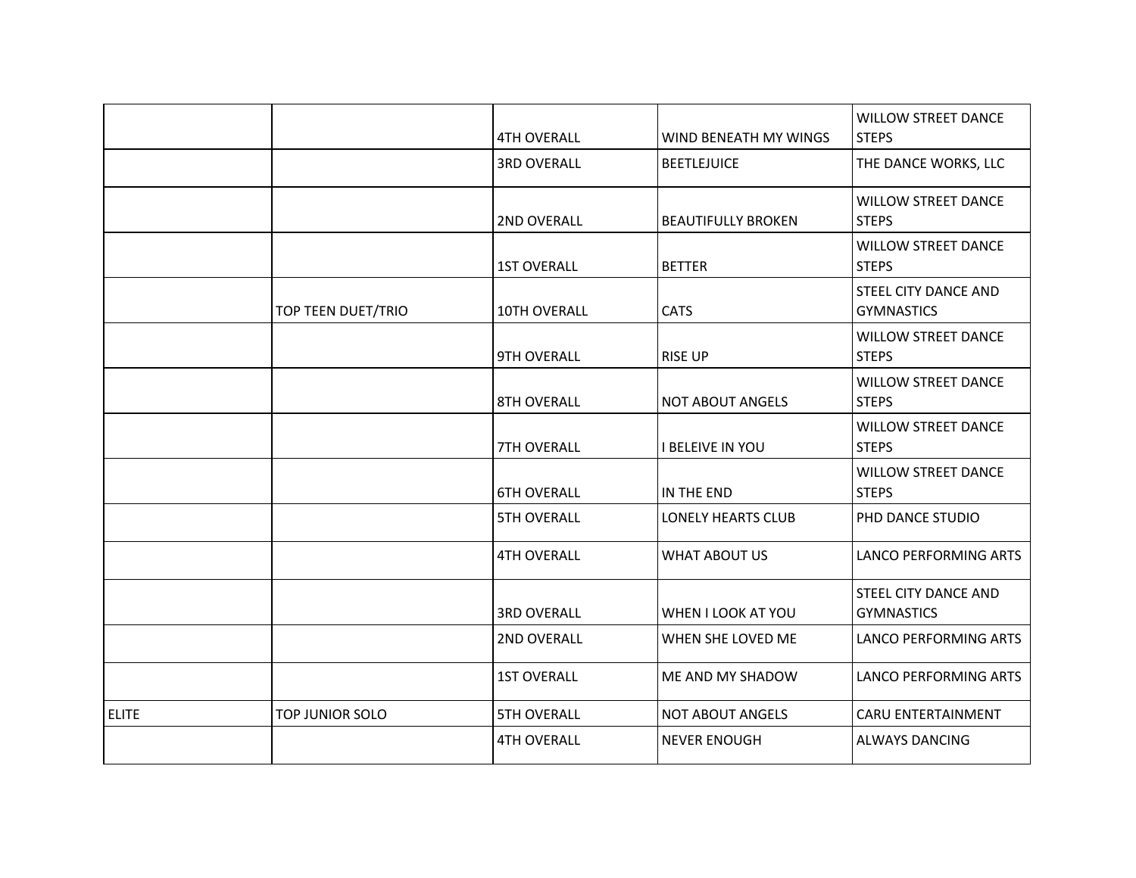|              |                    | <b>4TH OVERALL</b> | WIND BENEATH MY WINGS     | <b>WILLOW STREET DANCE</b><br><b>STEPS</b> |
|--------------|--------------------|--------------------|---------------------------|--------------------------------------------|
|              |                    | <b>3RD OVERALL</b> | <b>BEETLEJUICE</b>        | THE DANCE WORKS, LLC                       |
|              |                    | 2ND OVERALL        | <b>BEAUTIFULLY BROKEN</b> | <b>WILLOW STREET DANCE</b><br><b>STEPS</b> |
|              |                    | <b>1ST OVERALL</b> | <b>BETTER</b>             | <b>WILLOW STREET DANCE</b><br><b>STEPS</b> |
|              | TOP TEEN DUET/TRIO | 10TH OVERALL       | <b>CATS</b>               | STEEL CITY DANCE AND<br><b>GYMNASTICS</b>  |
|              |                    | 9TH OVERALL        | <b>RISE UP</b>            | <b>WILLOW STREET DANCE</b><br><b>STEPS</b> |
|              |                    | <b>8TH OVERALL</b> | <b>NOT ABOUT ANGELS</b>   | <b>WILLOW STREET DANCE</b><br><b>STEPS</b> |
|              |                    | 7TH OVERALL        | I BELEIVE IN YOU          | <b>WILLOW STREET DANCE</b><br><b>STEPS</b> |
|              |                    | <b>6TH OVERALL</b> | IN THE END                | <b>WILLOW STREET DANCE</b><br><b>STEPS</b> |
|              |                    | <b>5TH OVERALL</b> | LONELY HEARTS CLUB        | PHD DANCE STUDIO                           |
|              |                    | <b>4TH OVERALL</b> | <b>WHAT ABOUT US</b>      | <b>LANCO PERFORMING ARTS</b>               |
|              |                    | <b>3RD OVERALL</b> | WHEN I LOOK AT YOU        | STEEL CITY DANCE AND<br><b>GYMNASTICS</b>  |
|              |                    | 2ND OVERALL        | WHEN SHE LOVED ME         | LANCO PERFORMING ARTS                      |
|              |                    | <b>1ST OVERALL</b> | ME AND MY SHADOW          | <b>LANCO PERFORMING ARTS</b>               |
| <b>ELITE</b> | TOP JUNIOR SOLO    | <b>5TH OVERALL</b> | <b>NOT ABOUT ANGELS</b>   | <b>CARU ENTERTAINMENT</b>                  |
|              |                    | <b>4TH OVERALL</b> | <b>NEVER ENOUGH</b>       | <b>ALWAYS DANCING</b>                      |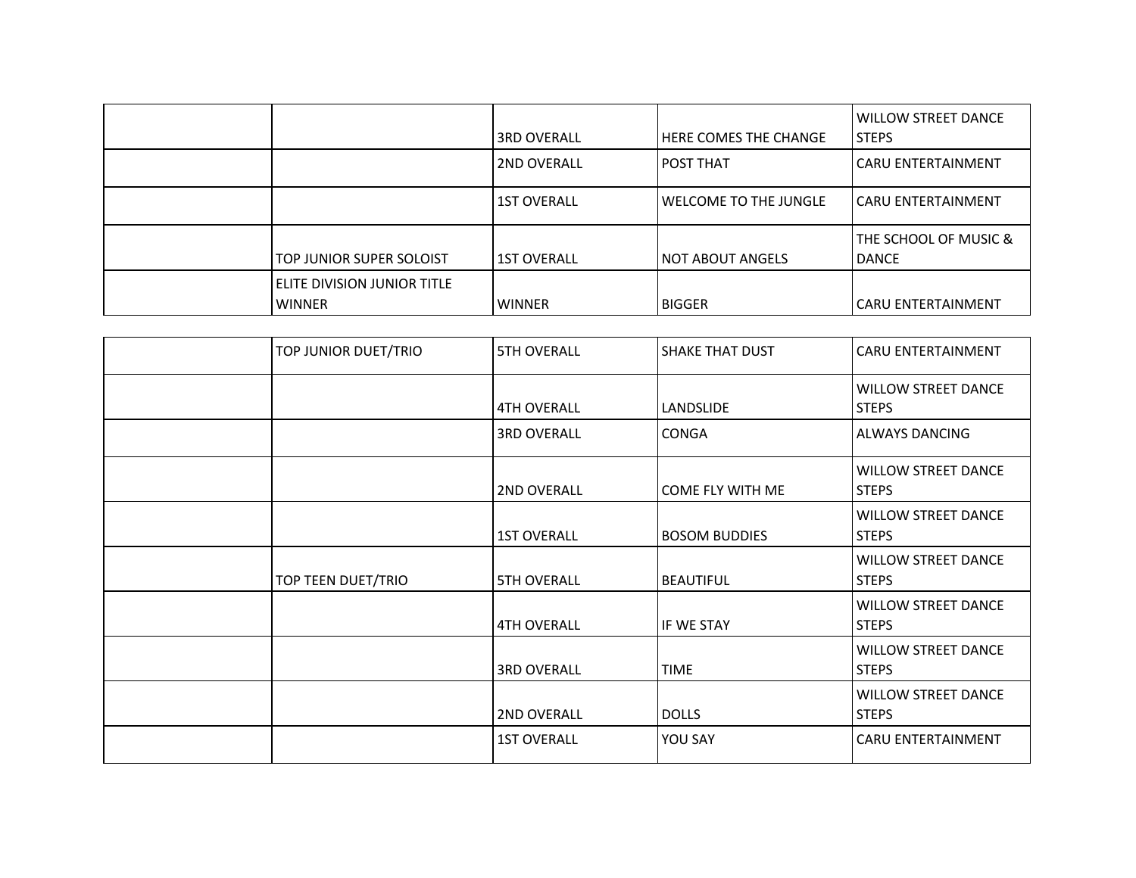|                                              | <b>3RD OVERALL</b> | HERE COMES THE CHANGE   | <b>WILLOW STREET DANCE</b><br><b>STEPS</b> |
|----------------------------------------------|--------------------|-------------------------|--------------------------------------------|
|                                              | <b>2ND OVERALL</b> | <b>POST THAT</b>        | <b>CARU ENTERTAINMENT</b>                  |
|                                              | <b>1ST OVERALL</b> | l WELCOME TO THE JUNGLE | CARU ENTERTAINMENT                         |
| TOP JUNIOR SUPER SOLOIST                     | <b>1ST OVERALL</b> | l NOT ABOUT ANGELS      | THE SCHOOL OF MUSIC &<br><b>DANCE</b>      |
| ELITE DIVISION JUNIOR TITLE<br><b>WINNER</b> | <b>WINNER</b>      | <b>BIGGER</b>           | <b>CARU ENTERTAINMENT</b>                  |

| TOP JUNIOR DUET/TRIO | <b>5TH OVERALL</b> | SHAKE THAT DUST      | CARU ENTERTAINMENT                         |
|----------------------|--------------------|----------------------|--------------------------------------------|
|                      | <b>4TH OVERALL</b> | LANDSLIDE            | <b>WILLOW STREET DANCE</b><br><b>STEPS</b> |
|                      | <b>3RD OVERALL</b> | CONGA                | <b>ALWAYS DANCING</b>                      |
|                      | 2ND OVERALL        | COME FLY WITH ME     | <b>WILLOW STREET DANCE</b><br><b>STEPS</b> |
|                      | <b>1ST OVERALL</b> | <b>BOSOM BUDDIES</b> | <b>WILLOW STREET DANCE</b><br><b>STEPS</b> |
| TOP TEEN DUET/TRIO   | <b>5TH OVERALL</b> | <b>BEAUTIFUL</b>     | <b>WILLOW STREET DANCE</b><br><b>STEPS</b> |
|                      | <b>4TH OVERALL</b> | IF WE STAY           | <b>WILLOW STREET DANCE</b><br><b>STEPS</b> |
|                      | <b>3RD OVERALL</b> | <b>TIME</b>          | <b>WILLOW STREET DANCE</b><br><b>STEPS</b> |
|                      | 2ND OVERALL        | <b>DOLLS</b>         | <b>WILLOW STREET DANCE</b><br><b>STEPS</b> |
|                      | <b>1ST OVERALL</b> | YOU SAY              | CARU ENTERTAINMENT                         |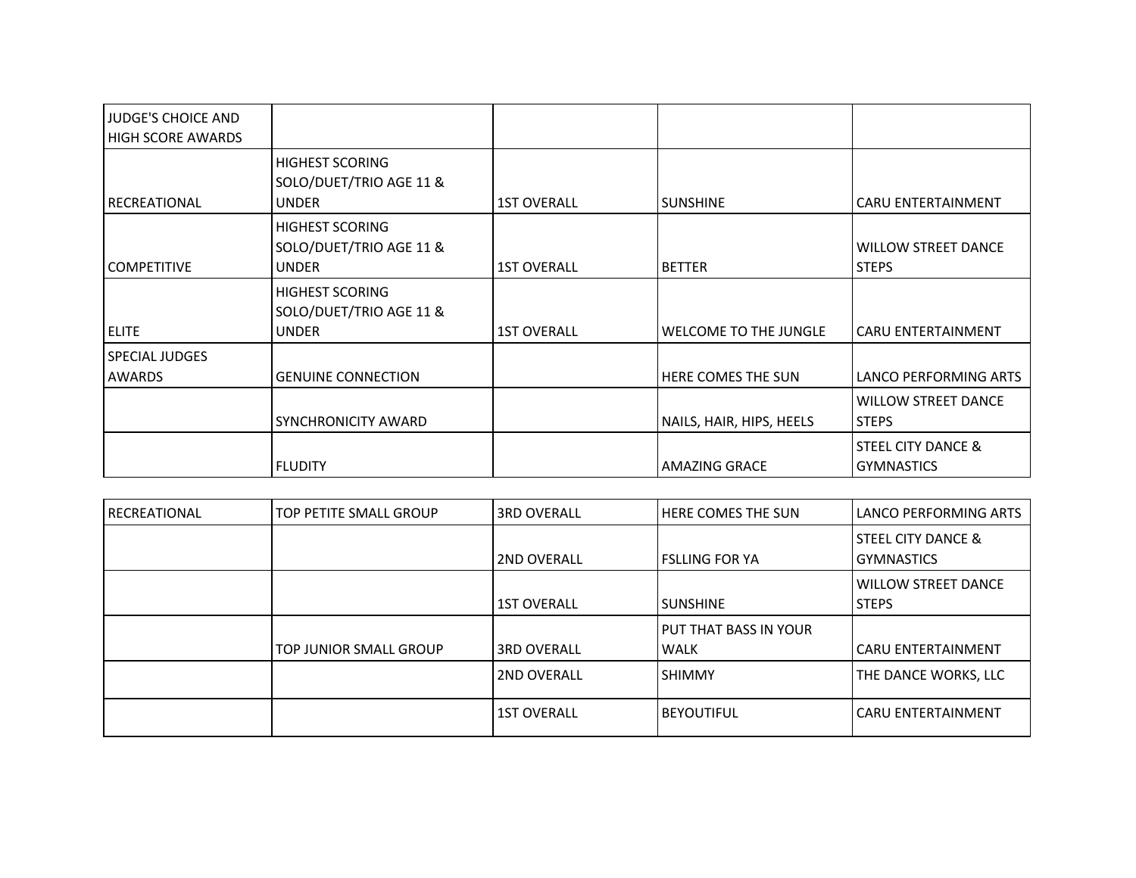| JUDGE'S CHOICE AND              |                                                                   |                    |                          |                                            |
|---------------------------------|-------------------------------------------------------------------|--------------------|--------------------------|--------------------------------------------|
| <b>HIGH SCORE AWARDS</b>        |                                                                   |                    |                          |                                            |
| <b>RECREATIONAL</b>             | <b>HIGHEST SCORING</b><br>SOLO/DUET/TRIO AGE 11 &<br><b>UNDER</b> | <b>1ST OVERALL</b> | <b>SUNSHINE</b>          | CARU ENTERTAINMENT                         |
| <b>COMPETITIVE</b>              | <b>HIGHEST SCORING</b><br>SOLO/DUET/TRIO AGE 11 &<br><b>UNDER</b> | <b>1ST OVERALL</b> | <b>BETTER</b>            | <b>WILLOW STREET DANCE</b><br><b>STEPS</b> |
| <b>ELITE</b>                    | <b>HIGHEST SCORING</b><br>SOLO/DUET/TRIO AGE 11 &<br><b>UNDER</b> | <b>1ST OVERALL</b> | WELCOME TO THE JUNGLE    | CARU ENTERTAINMENT                         |
| SPECIAL JUDGES<br><b>AWARDS</b> | <b>GENUINE CONNECTION</b>                                         |                    | HERE COMES THE SUN       | LANCO PERFORMING ARTS                      |
|                                 | SYNCHRONICITY AWARD                                               |                    | NAILS, HAIR, HIPS, HEELS | <b>WILLOW STREET DANCE</b><br><b>STEPS</b> |
|                                 | <b>FLUDITY</b>                                                    |                    | <b>AMAZING GRACE</b>     | STEEL CITY DANCE &<br><b>GYMNASTICS</b>    |

| l RECREATIONAL | TOP PETITE SMALL GROUP | <b>3RD OVERALL</b> | <b>HERE COMES THE SUN</b>              | LANCO PERFORMING ARTS                              |
|----------------|------------------------|--------------------|----------------------------------------|----------------------------------------------------|
|                |                        | <b>2ND OVERALL</b> | FSLLING FOR YA                         | <b>STEEL CITY DANCE &amp;</b><br><b>GYMNASTICS</b> |
|                |                        | <b>1ST OVERALL</b> | <b>SUNSHINE</b>                        | <b>WILLOW STREET DANCE</b><br><b>STEPS</b>         |
|                | TOP JUNIOR SMALL GROUP | <b>3RD OVERALL</b> | l PUT THAT BASS IN YOUR<br><b>WALK</b> | <b>CARU ENTERTAINMENT</b>                          |
|                |                        | <b>2ND OVERALL</b> | <b>SHIMMY</b>                          | THE DANCE WORKS, LLC                               |
|                |                        | <b>1ST OVERALL</b> | <b>BEYOUTIFUL</b>                      | <b>CARU ENTERTAINMENT</b>                          |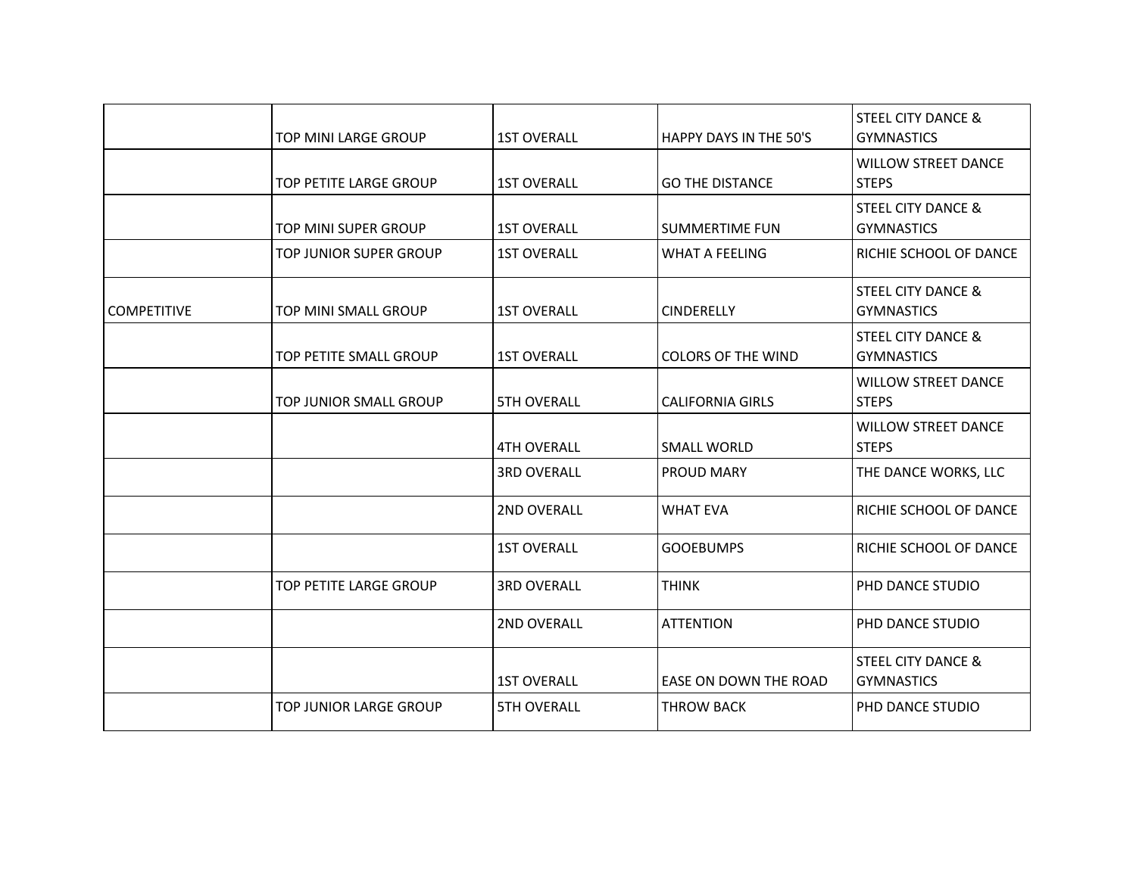|                    | <b>TOP MINI LARGE GROUP</b>   | <b>1ST OVERALL</b> | <b>HAPPY DAYS IN THE 50'S</b> | STEEL CITY DANCE &<br><b>GYMNASTICS</b>            |
|--------------------|-------------------------------|--------------------|-------------------------------|----------------------------------------------------|
|                    | TOP PETITE LARGE GROUP        | <b>1ST OVERALL</b> | <b>GO THE DISTANCE</b>        | <b>WILLOW STREET DANCE</b><br><b>STEPS</b>         |
|                    | TOP MINI SUPER GROUP          | <b>1ST OVERALL</b> | <b>SUMMERTIME FUN</b>         | STEEL CITY DANCE &<br><b>GYMNASTICS</b>            |
|                    | TOP JUNIOR SUPER GROUP        | <b>1ST OVERALL</b> | <b>WHAT A FEELING</b>         | RICHIE SCHOOL OF DANCE                             |
| <b>COMPETITIVE</b> | TOP MINI SMALL GROUP          | <b>1ST OVERALL</b> | <b>CINDERELLY</b>             | STEEL CITY DANCE &<br><b>GYMNASTICS</b>            |
|                    | TOP PETITE SMALL GROUP        | <b>1ST OVERALL</b> | <b>COLORS OF THE WIND</b>     | <b>STEEL CITY DANCE &amp;</b><br><b>GYMNASTICS</b> |
|                    | TOP JUNIOR SMALL GROUP        | <b>5TH OVERALL</b> | <b>CALIFORNIA GIRLS</b>       | <b>WILLOW STREET DANCE</b><br><b>STEPS</b>         |
|                    |                               | <b>4TH OVERALL</b> | <b>SMALL WORLD</b>            | <b>WILLOW STREET DANCE</b><br><b>STEPS</b>         |
|                    |                               | <b>3RD OVERALL</b> | PROUD MARY                    | THE DANCE WORKS, LLC                               |
|                    |                               | <b>2ND OVERALL</b> | <b>WHAT EVA</b>               | RICHIE SCHOOL OF DANCE                             |
|                    |                               | <b>1ST OVERALL</b> | <b>GOOEBUMPS</b>              | RICHIE SCHOOL OF DANCE                             |
|                    | TOP PETITE LARGE GROUP        | <b>3RD OVERALL</b> | <b>THINK</b>                  | PHD DANCE STUDIO                                   |
|                    |                               | <b>2ND OVERALL</b> | <b>ATTENTION</b>              | PHD DANCE STUDIO                                   |
|                    |                               | <b>1ST OVERALL</b> | EASE ON DOWN THE ROAD         | STEEL CITY DANCE &<br><b>GYMNASTICS</b>            |
|                    | <b>TOP JUNIOR LARGE GROUP</b> | <b>5TH OVERALL</b> | <b>THROW BACK</b>             | PHD DANCE STUDIO                                   |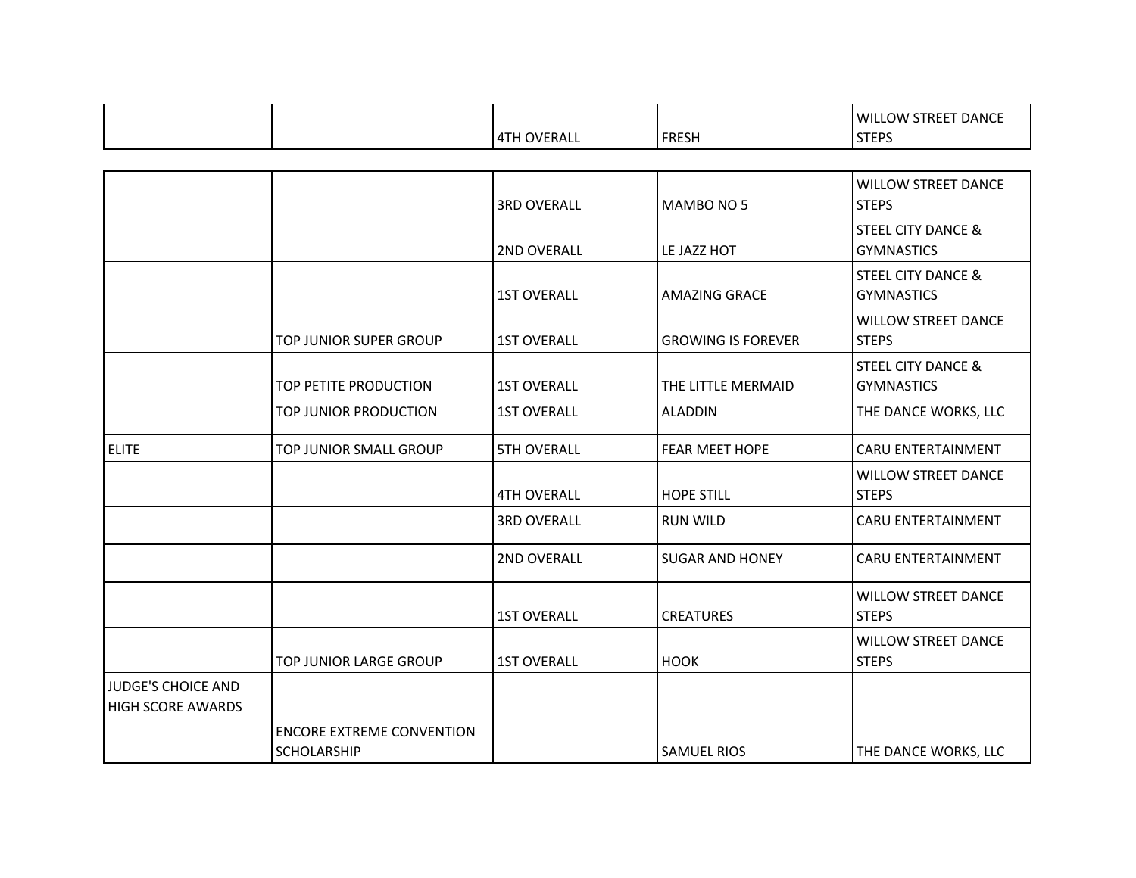|  |                |                      | WILLOW STREET DANCE |
|--|----------------|----------------------|---------------------|
|  | OVERALL<br>4TH | <b>FRESH</b><br>וכ∟ו | <b>STEPS</b>        |
|  |                |                      |                     |

|                          |                                                        | <b>3RD OVERALL</b> | MAMBO NO 5                | <b>WILLOW STREET DANCE</b><br><b>STEPS</b> |
|--------------------------|--------------------------------------------------------|--------------------|---------------------------|--------------------------------------------|
|                          |                                                        | 2ND OVERALL        | LE JAZZ HOT               | STEEL CITY DANCE &<br><b>GYMNASTICS</b>    |
|                          |                                                        | <b>1ST OVERALL</b> | <b>AMAZING GRACE</b>      | STEEL CITY DANCE &<br><b>GYMNASTICS</b>    |
|                          | TOP JUNIOR SUPER GROUP                                 | <b>1ST OVERALL</b> | <b>GROWING IS FOREVER</b> | <b>WILLOW STREET DANCE</b><br><b>STEPS</b> |
|                          | TOP PETITE PRODUCTION                                  | <b>1ST OVERALL</b> | THE LITTLE MERMAID        | STEEL CITY DANCE &<br><b>GYMNASTICS</b>    |
|                          | TOP JUNIOR PRODUCTION                                  | <b>1ST OVERALL</b> | <b>ALADDIN</b>            | THE DANCE WORKS, LLC                       |
| <b>ELITE</b>             | TOP JUNIOR SMALL GROUP                                 | <b>5TH OVERALL</b> | <b>FEAR MEET HOPE</b>     | CARU ENTERTAINMENT                         |
|                          |                                                        | <b>4TH OVERALL</b> | <b>HOPE STILL</b>         | <b>WILLOW STREET DANCE</b><br><b>STEPS</b> |
|                          |                                                        | <b>3RD OVERALL</b> | <b>RUN WILD</b>           | CARU ENTERTAINMENT                         |
|                          |                                                        | 2ND OVERALL        | <b>SUGAR AND HONEY</b>    | CARU ENTERTAINMENT                         |
|                          |                                                        | <b>1ST OVERALL</b> | <b>CREATURES</b>          | <b>WILLOW STREET DANCE</b><br><b>STEPS</b> |
|                          | TOP JUNIOR LARGE GROUP                                 | <b>1ST OVERALL</b> | <b>HOOK</b>               | <b>WILLOW STREET DANCE</b><br><b>STEPS</b> |
| JUDGE'S CHOICE AND       |                                                        |                    |                           |                                            |
| <b>HIGH SCORE AWARDS</b> |                                                        |                    |                           |                                            |
|                          | <b>ENCORE EXTREME CONVENTION</b><br><b>SCHOLARSHIP</b> |                    | <b>SAMUEL RIOS</b>        | THE DANCE WORKS, LLC                       |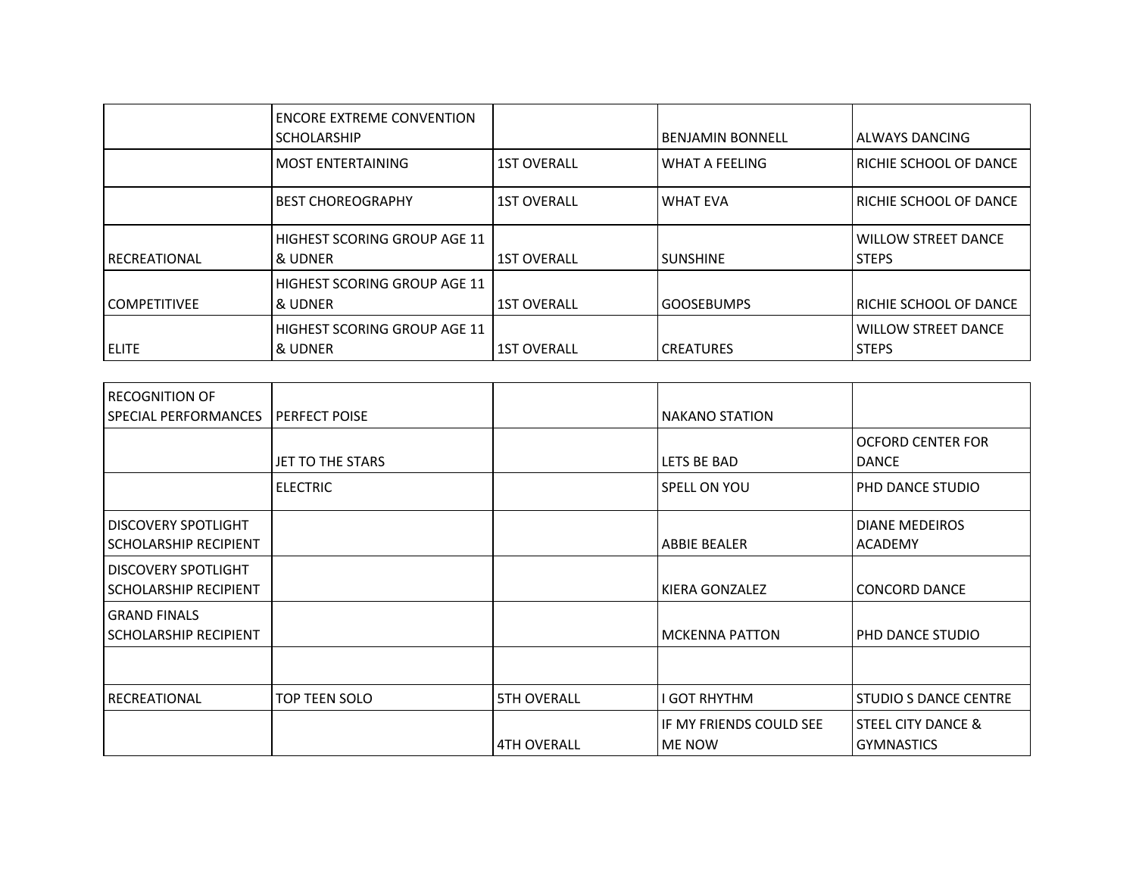|                     | <b>ENCORE EXTREME CONVENTION</b><br><b>SCHOLARSHIP</b> |                    | <b>BENJAMIN BONNELL</b> | ALWAYS DANCING                             |
|---------------------|--------------------------------------------------------|--------------------|-------------------------|--------------------------------------------|
|                     | <b>MOST ENTERTAINING</b>                               | <b>1ST OVERALL</b> | <b>WHAT A FEELING</b>   | RICHIE SCHOOL OF DANCE                     |
|                     | <b>BEST CHOREOGRAPHY</b>                               | <b>1ST OVERALL</b> | WHAT EVA                | RICHIE SCHOOL OF DANCE                     |
| l RECREATIONAL      | <b>HIGHEST SCORING GROUP AGE 11</b><br>& UDNER         | <b>1ST OVERALL</b> | <b>SUNSHINE</b>         | <b>WILLOW STREET DANCE</b><br><b>STEPS</b> |
| <b>COMPETITIVEE</b> | <b>HIGHEST SCORING GROUP AGE 11</b><br>& UDNER         | <b>1ST OVERALL</b> | <b>GOOSEBUMPS</b>       | RICHIE SCHOOL OF DANCE                     |
| I ELITE             | <b>HIGHEST SCORING GROUP AGE 11</b><br>& UDNER         | <b>1ST OVERALL</b> | <b>CREATURES</b>        | <b>WILLOW STREET DANCE</b><br><b>STEPS</b> |

| <b>RECOGNITION OF</b><br>SPECIAL PERFORMANCES              | <b>PERFECT POISE</b> |                    | <b>NAKANO STATION</b>                    |                                          |
|------------------------------------------------------------|----------------------|--------------------|------------------------------------------|------------------------------------------|
|                                                            | JET TO THE STARS     |                    | LETS BE BAD                              | <b>OCFORD CENTER FOR</b><br><b>DANCE</b> |
|                                                            | <b>ELECTRIC</b>      |                    | SPELL ON YOU                             | PHD DANCE STUDIO                         |
| <b>DISCOVERY SPOTLIGHT</b><br><b>SCHOLARSHIP RECIPIENT</b> |                      |                    | <b>ABBIE BEALER</b>                      | DIANE MEDEIROS<br><b>ACADEMY</b>         |
| <b>DISCOVERY SPOTLIGHT</b><br>SCHOLARSHIP RECIPIENT        |                      |                    | KIERA GONZALEZ                           | <b>CONCORD DANCE</b>                     |
| <b>GRAND FINALS</b><br><b>SCHOLARSHIP RECIPIENT</b>        |                      |                    | <b>MCKENNA PATTON</b>                    | PHD DANCE STUDIO                         |
|                                                            |                      |                    |                                          |                                          |
| RECREATIONAL                                               | TOP TEEN SOLO        | <b>5TH OVERALL</b> | I GOT RHYTHM                             | STUDIO S DANCE CENTRE                    |
|                                                            |                      | <b>4TH OVERALL</b> | IF MY FRIENDS COULD SEE<br><b>ME NOW</b> | STEEL CITY DANCE &<br><b>GYMNASTICS</b>  |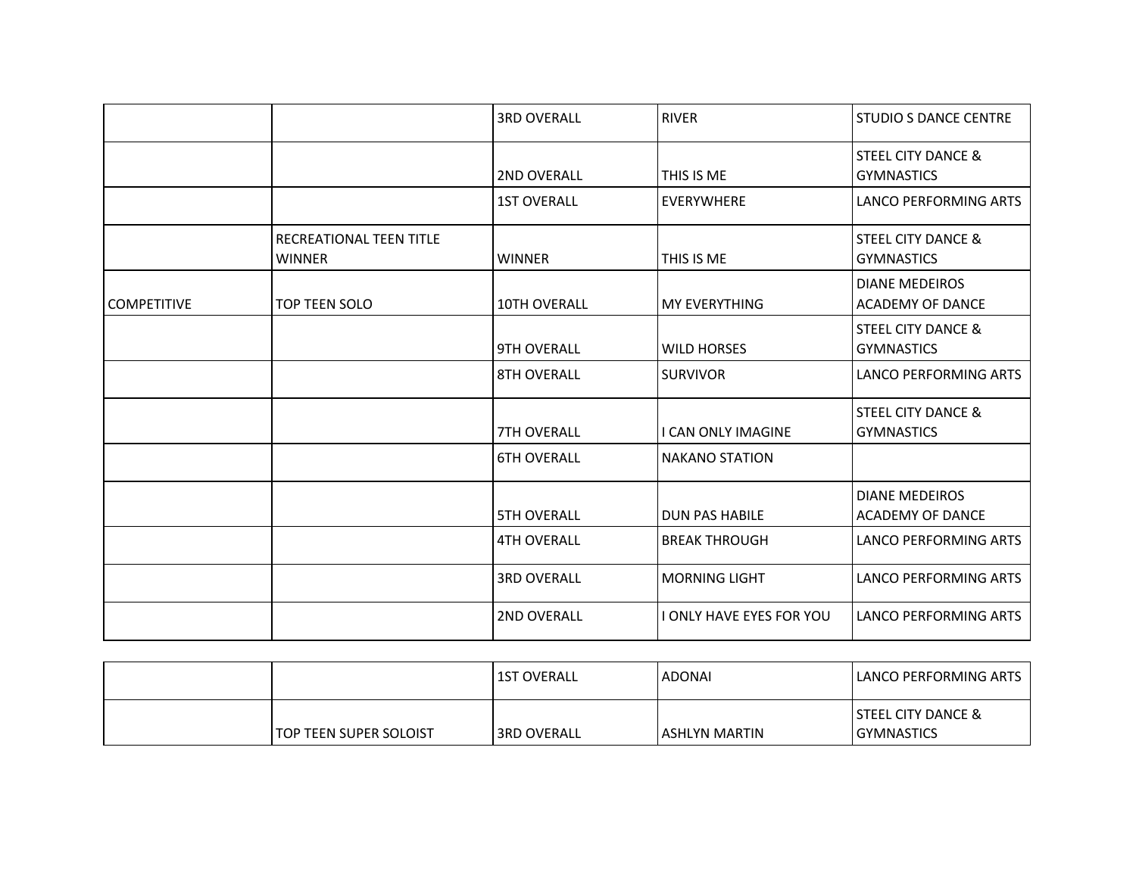|                    |                                          | <b>3RD OVERALL</b> | <b>RIVER</b>             | <b>STUDIO S DANCE CENTRE</b>                       |
|--------------------|------------------------------------------|--------------------|--------------------------|----------------------------------------------------|
|                    |                                          | <b>2ND OVERALL</b> | THIS IS ME               | <b>STEEL CITY DANCE &amp;</b><br><b>GYMNASTICS</b> |
|                    |                                          | <b>1ST OVERALL</b> | <b>EVERYWHERE</b>        | LANCO PERFORMING ARTS                              |
|                    | RECREATIONAL TEEN TITLE<br><b>WINNER</b> | <b>WINNER</b>      | THIS IS ME               | STEEL CITY DANCE &<br><b>GYMNASTICS</b>            |
| <b>COMPETITIVE</b> | TOP TEEN SOLO                            | 10TH OVERALL       | <b>MY EVERYTHING</b>     | <b>DIANE MEDEIROS</b><br><b>ACADEMY OF DANCE</b>   |
|                    |                                          | <b>9TH OVERALL</b> | <b>WILD HORSES</b>       | STEEL CITY DANCE &<br><b>GYMNASTICS</b>            |
|                    |                                          | <b>8TH OVERALL</b> | <b>SURVIVOR</b>          | LANCO PERFORMING ARTS                              |
|                    |                                          | <b>7TH OVERALL</b> | I CAN ONLY IMAGINE       | STEEL CITY DANCE &<br><b>GYMNASTICS</b>            |
|                    |                                          | <b>6TH OVERALL</b> | <b>NAKANO STATION</b>    |                                                    |
|                    |                                          | <b>5TH OVERALL</b> | <b>DUN PAS HABILE</b>    | <b>DIANE MEDEIROS</b><br><b>ACADEMY OF DANCE</b>   |
|                    |                                          | <b>4TH OVERALL</b> | <b>BREAK THROUGH</b>     | LANCO PERFORMING ARTS                              |
|                    |                                          | <b>3RD OVERALL</b> | <b>MORNING LIGHT</b>     | LANCO PERFORMING ARTS                              |
|                    |                                          | 2ND OVERALL        | I ONLY HAVE EYES FOR YOU | LANCO PERFORMING ARTS                              |

|                          | <b>1ST OVERALL</b> | ADONAI         | I LANCO PERFORMING ARTS                             |
|--------------------------|--------------------|----------------|-----------------------------------------------------|
| l TOP TEEN SUPER SOLOIST | <b>3RD OVERALL</b> | LASHLYN MARTIN | <b>ISTEEL CITY DANCE &amp;</b><br><b>GYMNASTICS</b> |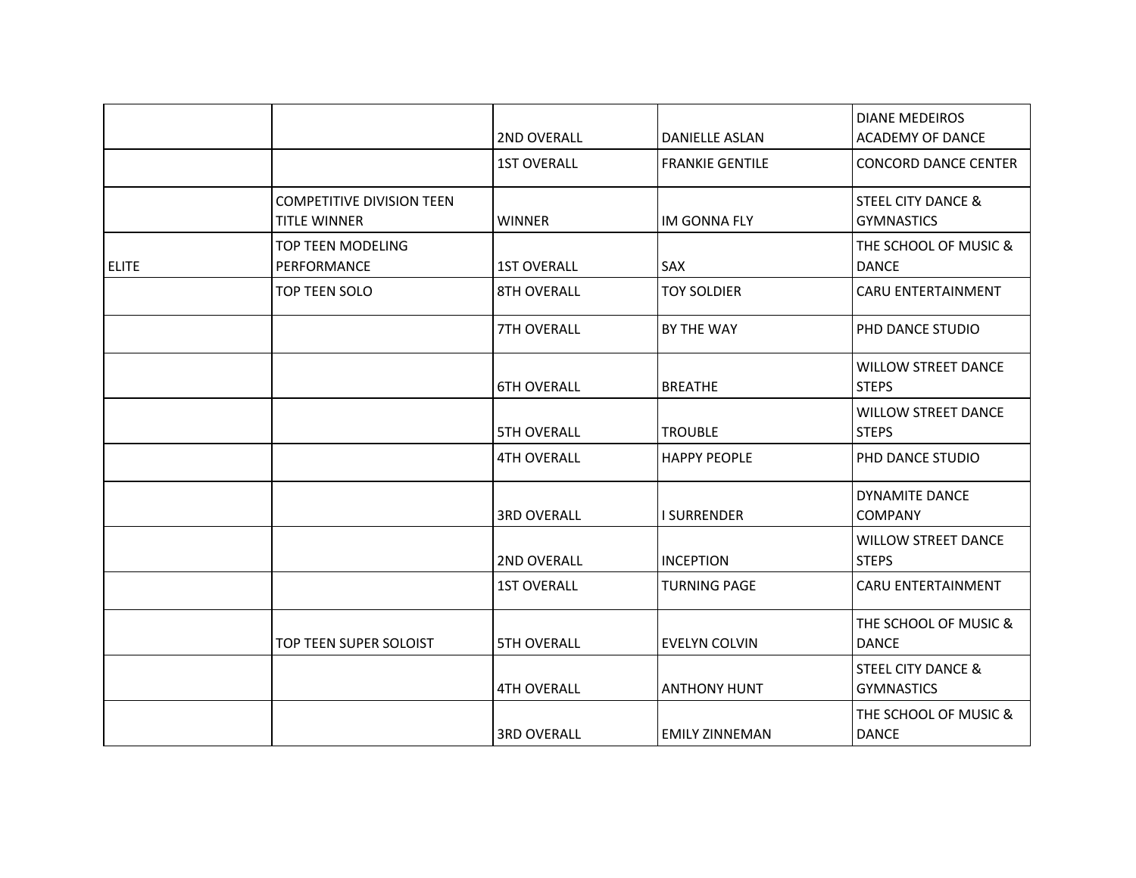|              |                                                         | <b>2ND OVERALL</b> | <b>DANIELLE ASLAN</b>  | DIANE MEDEIROS<br><b>ACADEMY OF DANCE</b>          |
|--------------|---------------------------------------------------------|--------------------|------------------------|----------------------------------------------------|
|              |                                                         | <b>1ST OVERALL</b> | <b>FRANKIE GENTILE</b> | <b>CONCORD DANCE CENTER</b>                        |
|              | <b>COMPETITIVE DIVISION TEEN</b><br><b>TITLE WINNER</b> | <b>WINNER</b>      | IM GONNA FLY           | <b>STEEL CITY DANCE &amp;</b><br><b>GYMNASTICS</b> |
| <b>ELITE</b> | TOP TEEN MODELING<br>PERFORMANCE                        | <b>1ST OVERALL</b> | SAX                    | THE SCHOOL OF MUSIC &<br><b>DANCE</b>              |
|              | TOP TEEN SOLO                                           | 8TH OVERALL        | <b>TOY SOLDIER</b>     | CARU ENTERTAINMENT                                 |
|              |                                                         | <b>7TH OVERALL</b> | BY THE WAY             | PHD DANCE STUDIO                                   |
|              |                                                         | <b>6TH OVERALL</b> | <b>BREATHE</b>         | <b>WILLOW STREET DANCE</b><br><b>STEPS</b>         |
|              |                                                         | <b>5TH OVERALL</b> | <b>TROUBLE</b>         | <b>WILLOW STREET DANCE</b><br><b>STEPS</b>         |
|              |                                                         | <b>4TH OVERALL</b> | <b>HAPPY PEOPLE</b>    | PHD DANCE STUDIO                                   |
|              |                                                         | <b>3RD OVERALL</b> | <b>I SURRENDER</b>     | <b>DYNAMITE DANCE</b><br><b>COMPANY</b>            |
|              |                                                         | 2ND OVERALL        | <b>INCEPTION</b>       | <b>WILLOW STREET DANCE</b><br><b>STEPS</b>         |
|              |                                                         | <b>1ST OVERALL</b> | <b>TURNING PAGE</b>    | <b>CARU ENTERTAINMENT</b>                          |
|              | TOP TEEN SUPER SOLOIST                                  | <b>5TH OVERALL</b> | <b>EVELYN COLVIN</b>   | THE SCHOOL OF MUSIC &<br><b>DANCE</b>              |
|              |                                                         | <b>4TH OVERALL</b> | <b>ANTHONY HUNT</b>    | STEEL CITY DANCE &<br><b>GYMNASTICS</b>            |
|              |                                                         | <b>3RD OVERALL</b> | <b>EMILY ZINNEMAN</b>  | THE SCHOOL OF MUSIC &<br><b>DANCE</b>              |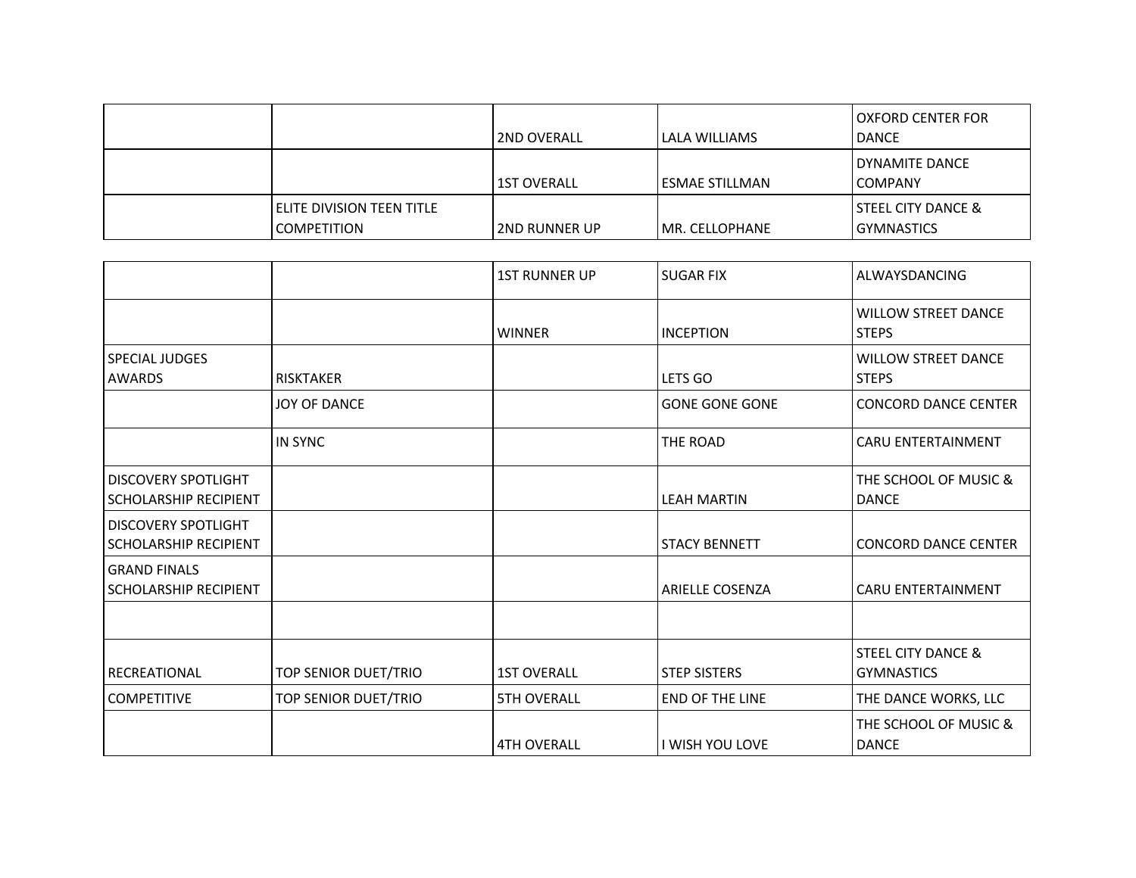|                                                  | <b>2ND OVERALL</b>   | LALA WILLIAMS    | LOXFORD CENTER FOR<br><b>DANCE</b>        |
|--------------------------------------------------|----------------------|------------------|-------------------------------------------|
|                                                  | <b>1ST OVERALL</b>   | l ESMAE STILLMAN | I DYNAMITE DANCE<br><b>COMPANY</b>        |
| LELITE DIVISION TEEN TITLE<br><b>COMPETITION</b> | <b>2ND RUNNER UP</b> | I MR. CELLOPHANE | l STEEL CITY DANCE &<br><b>GYMNASTICS</b> |

|                                                            |                      | <b>1ST RUNNER UP</b> | <b>SUGAR FIX</b>       | ALWAYSDANCING                                      |
|------------------------------------------------------------|----------------------|----------------------|------------------------|----------------------------------------------------|
|                                                            |                      | <b>WINNER</b>        | <b>INCEPTION</b>       | <b>WILLOW STREET DANCE</b><br><b>STEPS</b>         |
| SPECIAL JUDGES                                             |                      |                      |                        | <b>WILLOW STREET DANCE</b>                         |
| <b>AWARDS</b>                                              | <b>RISKTAKER</b>     |                      | LETS GO                | <b>STEPS</b>                                       |
|                                                            | <b>JOY OF DANCE</b>  |                      | <b>GONE GONE GONE</b>  | <b>CONCORD DANCE CENTER</b>                        |
|                                                            | <b>IN SYNC</b>       |                      | THE ROAD               | CARU ENTERTAINMENT                                 |
| <b>DISCOVERY SPOTLIGHT</b><br><b>SCHOLARSHIP RECIPIENT</b> |                      |                      | <b>LEAH MARTIN</b>     | THE SCHOOL OF MUSIC &<br><b>DANCE</b>              |
| <b>DISCOVERY SPOTLIGHT</b><br><b>SCHOLARSHIP RECIPIENT</b> |                      |                      | <b>STACY BENNETT</b>   | <b>CONCORD DANCE CENTER</b>                        |
| <b>GRAND FINALS</b><br>SCHOLARSHIP RECIPIENT               |                      |                      | <b>ARIELLE COSENZA</b> | <b>CARU ENTERTAINMENT</b>                          |
|                                                            |                      |                      |                        |                                                    |
| RECREATIONAL                                               | TOP SENIOR DUET/TRIO | <b>1ST OVERALL</b>   | <b>STEP SISTERS</b>    | <b>STEEL CITY DANCE &amp;</b><br><b>GYMNASTICS</b> |
| <b>COMPETITIVE</b>                                         | TOP SENIOR DUET/TRIO | <b>5TH OVERALL</b>   | <b>END OF THE LINE</b> | THE DANCE WORKS, LLC                               |
|                                                            |                      | <b>4TH OVERALL</b>   | I WISH YOU LOVE        | THE SCHOOL OF MUSIC &<br><b>DANCE</b>              |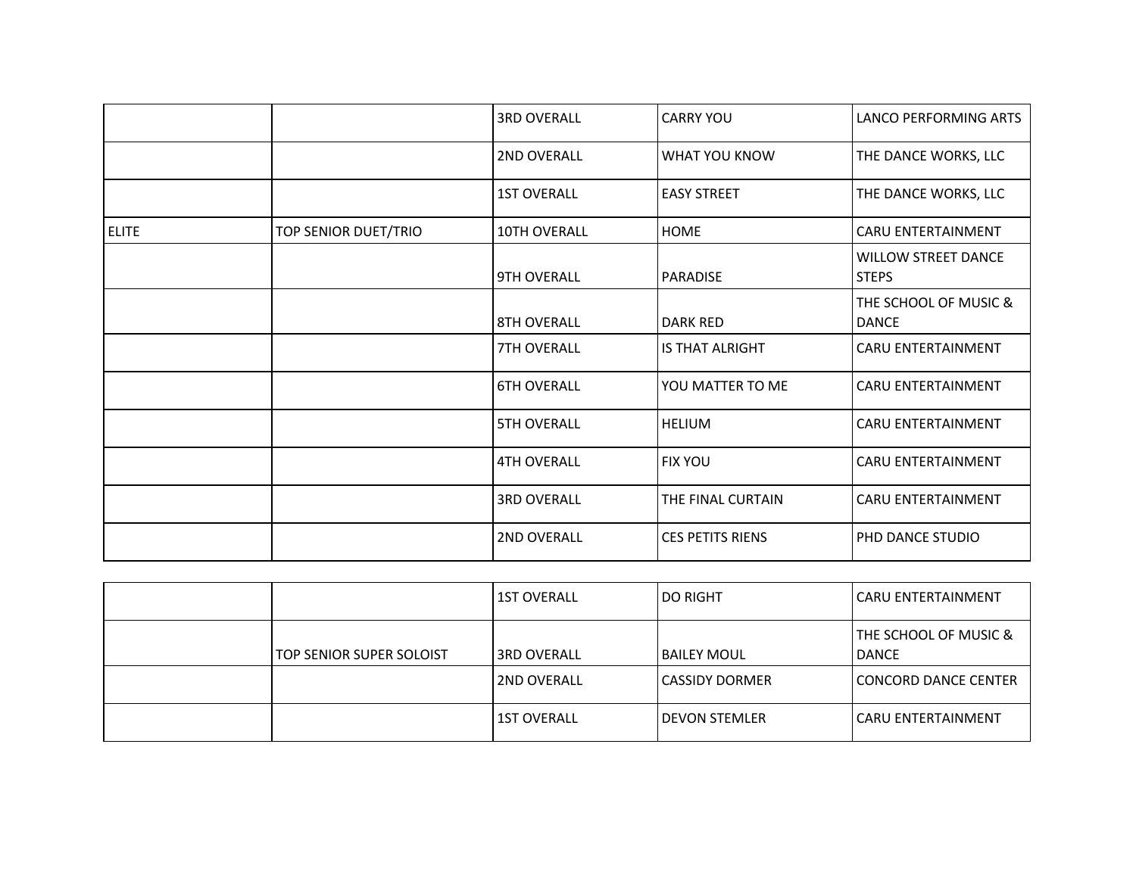|              |                      | <b>3RD OVERALL</b> | <b>CARRY YOU</b>        | LANCO PERFORMING ARTS                      |
|--------------|----------------------|--------------------|-------------------------|--------------------------------------------|
|              |                      | <b>2ND OVERALL</b> | WHAT YOU KNOW           | THE DANCE WORKS, LLC                       |
|              |                      | <b>1ST OVERALL</b> | <b>EASY STREET</b>      | THE DANCE WORKS, LLC                       |
| <b>ELITE</b> | TOP SENIOR DUET/TRIO | 10TH OVERALL       | <b>HOME</b>             | CARU ENTERTAINMENT                         |
|              |                      | <b>9TH OVERALL</b> | <b>PARADISE</b>         | <b>WILLOW STREET DANCE</b><br><b>STEPS</b> |
|              |                      | 8TH OVERALL        | <b>DARK RED</b>         | THE SCHOOL OF MUSIC &<br><b>DANCE</b>      |
|              |                      | 7TH OVERALL        | <b>IS THAT ALRIGHT</b>  | <b>CARU ENTERTAINMENT</b>                  |
|              |                      | <b>6TH OVERALL</b> | YOU MATTER TO ME        | <b>CARU ENTERTAINMENT</b>                  |
|              |                      | <b>5TH OVERALL</b> | <b>HELIUM</b>           | <b>CARU ENTERTAINMENT</b>                  |
|              |                      | <b>4TH OVERALL</b> | <b>FIX YOU</b>          | <b>CARU ENTERTAINMENT</b>                  |
|              |                      | <b>3RD OVERALL</b> | THE FINAL CURTAIN       | <b>CARU ENTERTAINMENT</b>                  |
|              |                      | 2ND OVERALL        | <b>CES PETITS RIENS</b> | PHD DANCE STUDIO                           |

|                          | <b>1ST OVERALL</b> | l do right         | <b>CARU ENTERTAINMENT</b>             |
|--------------------------|--------------------|--------------------|---------------------------------------|
| TOP SENIOR SUPER SOLOIST | <b>3RD OVERALL</b> | <b>BAILEY MOUL</b> | THE SCHOOL OF MUSIC &<br><b>DANCE</b> |
|                          | <b>2ND OVERALL</b> | l CASSIDY DORMER   | CONCORD DANCE CENTER                  |
|                          | <b>1ST OVERALL</b> | l DEVON STEMLER    | CARU ENTERTAINMENT                    |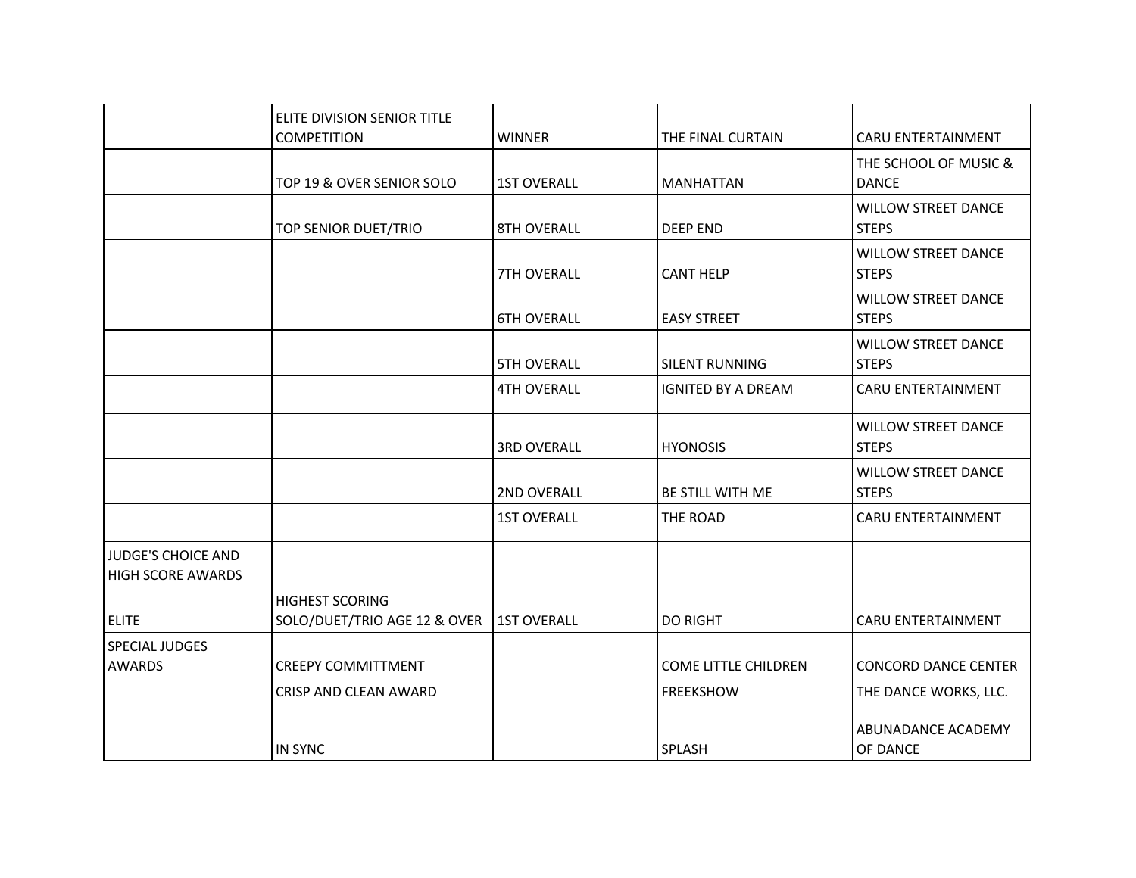|                                                       | ELITE DIVISION SENIOR TITLE<br><b>COMPETITION</b>      | <b>WINNER</b>      | THE FINAL CURTAIN         | CARU ENTERTAINMENT                                      |
|-------------------------------------------------------|--------------------------------------------------------|--------------------|---------------------------|---------------------------------------------------------|
|                                                       | TOP 19 & OVER SENIOR SOLO                              | <b>1ST OVERALL</b> | <b>MANHATTAN</b>          | THE SCHOOL OF MUSIC &<br><b>DANCE</b>                   |
|                                                       | TOP SENIOR DUET/TRIO                                   | 8TH OVERALL        | <b>DEEP END</b>           | <b>WILLOW STREET DANCE</b><br><b>STEPS</b>              |
|                                                       |                                                        | 7TH OVERALL        | <b>CANT HELP</b>          | <b>WILLOW STREET DANCE</b><br><b>STEPS</b>              |
|                                                       |                                                        | <b>6TH OVERALL</b> | <b>EASY STREET</b>        | <b>WILLOW STREET DANCE</b><br><b>STEPS</b>              |
|                                                       |                                                        | <b>5TH OVERALL</b> | <b>SILENT RUNNING</b>     | <b>WILLOW STREET DANCE</b><br><b>STEPS</b>              |
|                                                       |                                                        | <b>4TH OVERALL</b> | <b>IGNITED BY A DREAM</b> | <b>CARU ENTERTAINMENT</b><br><b>WILLOW STREET DANCE</b> |
|                                                       |                                                        | <b>3RD OVERALL</b> | <b>HYONOSIS</b>           | <b>STEPS</b>                                            |
|                                                       |                                                        | 2ND OVERALL        | BE STILL WITH ME          | <b>WILLOW STREET DANCE</b><br><b>STEPS</b>              |
|                                                       |                                                        | <b>1ST OVERALL</b> | THE ROAD                  | CARU ENTERTAINMENT                                      |
| <b>JUDGE'S CHOICE AND</b><br><b>HIGH SCORE AWARDS</b> |                                                        |                    |                           |                                                         |
| <b>ELITE</b>                                          | <b>HIGHEST SCORING</b><br>SOLO/DUET/TRIO AGE 12 & OVER | <b>1ST OVERALL</b> | <b>DO RIGHT</b>           | CARU ENTERTAINMENT                                      |
| <b>SPECIAL JUDGES</b><br><b>AWARDS</b>                | <b>CREEPY COMMITTMENT</b>                              |                    | COME LITTLE CHILDREN      | <b>CONCORD DANCE CENTER</b>                             |
|                                                       | CRISP AND CLEAN AWARD                                  |                    | <b>FREEKSHOW</b>          | THE DANCE WORKS, LLC.                                   |
|                                                       | <b>IN SYNC</b>                                         |                    | SPLASH                    | ABUNADANCE ACADEMY<br>OF DANCE                          |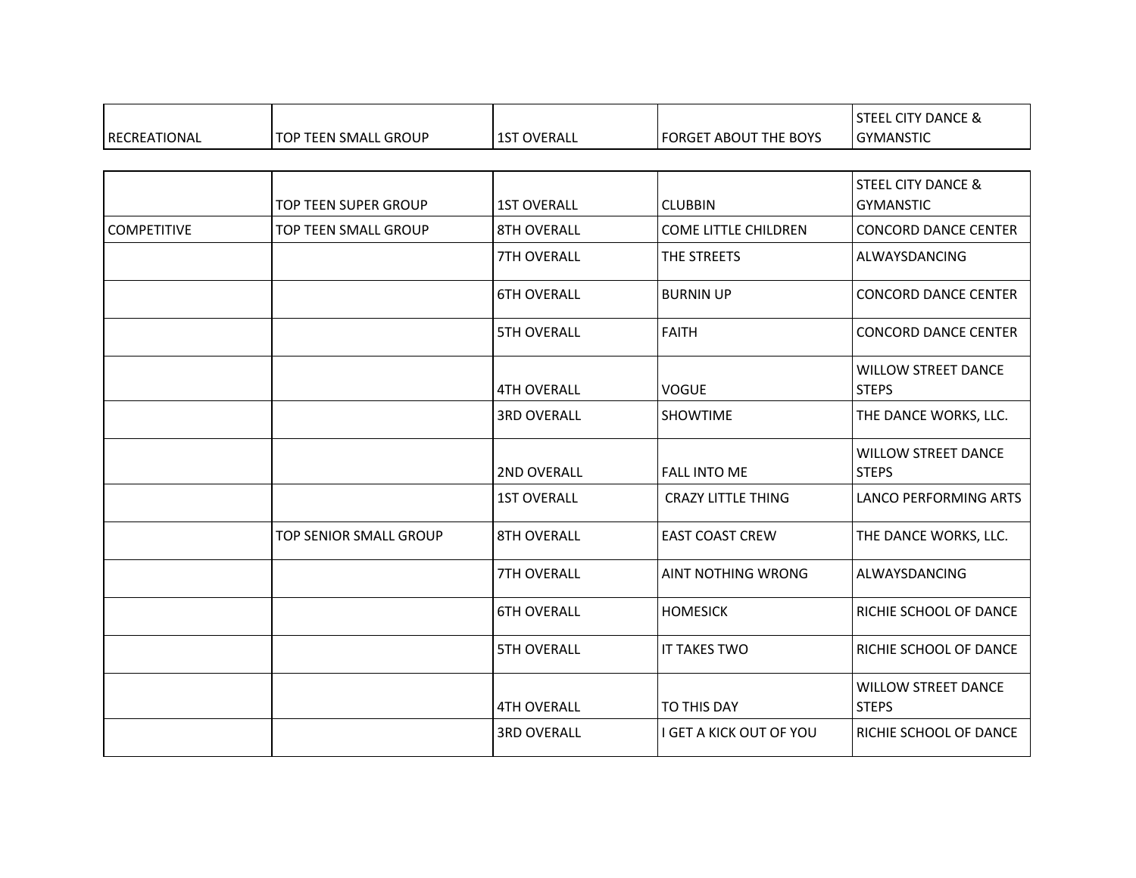| RECREATIONAL       | <b>TOP TEEN SMALL GROUP</b> | <b>1ST OVERALL</b> | FORGET ABOUT THE BOYS       | <b>STEEL CITY DANCE &amp;</b><br><b>GYMANSTIC</b> |
|--------------------|-----------------------------|--------------------|-----------------------------|---------------------------------------------------|
|                    |                             |                    |                             |                                                   |
|                    | TOP TEEN SUPER GROUP        | <b>1ST OVERALL</b> | <b>CLUBBIN</b>              | <b>STEEL CITY DANCE &amp;</b><br><b>GYMANSTIC</b> |
| <b>COMPETITIVE</b> | TOP TEEN SMALL GROUP        | <b>8TH OVERALL</b> | <b>COME LITTLE CHILDREN</b> | <b>CONCORD DANCE CENTER</b>                       |
|                    |                             | 7TH OVERALL        | THE STREETS                 | ALWAYSDANCING                                     |
|                    |                             | <b>6TH OVERALL</b> | <b>BURNIN UP</b>            | <b>CONCORD DANCE CENTER</b>                       |
|                    |                             | <b>5TH OVERALL</b> | <b>FAITH</b>                | <b>CONCORD DANCE CENTER</b>                       |
|                    |                             | <b>4TH OVERALL</b> | <b>VOGUE</b>                | <b>WILLOW STREET DANCE</b><br><b>STEPS</b>        |
|                    |                             | <b>3RD OVERALL</b> | <b>SHOWTIME</b>             | THE DANCE WORKS, LLC.                             |
|                    |                             | 2ND OVERALL        | <b>FALL INTO ME</b>         | <b>WILLOW STREET DANCE</b><br><b>STEPS</b>        |
|                    |                             | <b>1ST OVERALL</b> | <b>CRAZY LITTLE THING</b>   | <b>LANCO PERFORMING ARTS</b>                      |
|                    | TOP SENIOR SMALL GROUP      | <b>8TH OVERALL</b> | <b>EAST COAST CREW</b>      | THE DANCE WORKS, LLC.                             |
|                    |                             | 7TH OVERALL        | <b>AINT NOTHING WRONG</b>   | ALWAYSDANCING                                     |
|                    |                             | <b>6TH OVERALL</b> | <b>HOMESICK</b>             | RICHIE SCHOOL OF DANCE                            |
|                    |                             | <b>5TH OVERALL</b> | IT TAKES TWO                | RICHIE SCHOOL OF DANCE                            |
|                    |                             | <b>4TH OVERALL</b> | TO THIS DAY                 | <b>WILLOW STREET DANCE</b><br><b>STEPS</b>        |
|                    |                             | <b>3RD OVERALL</b> | I GET A KICK OUT OF YOU     | RICHIE SCHOOL OF DANCE                            |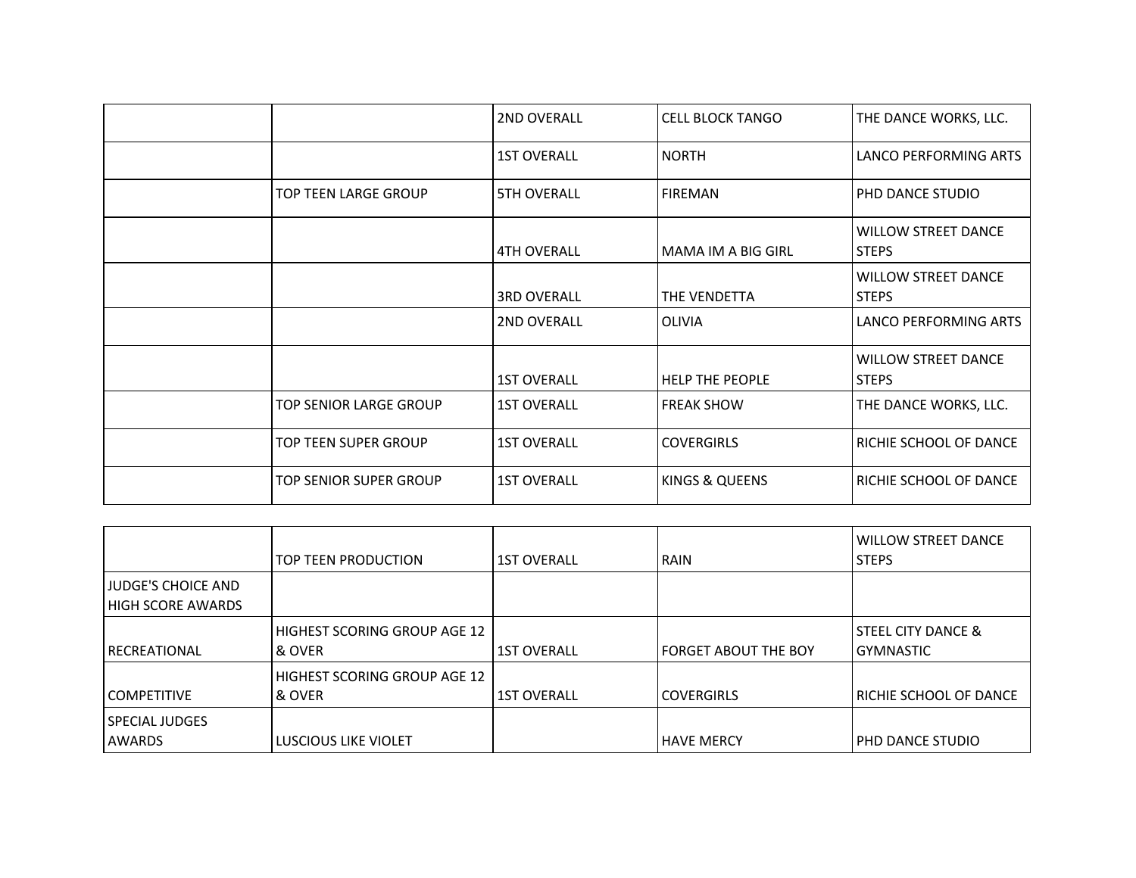|                        | 2ND OVERALL        | <b>CELL BLOCK TANGO</b> | THE DANCE WORKS, LLC.                      |
|------------------------|--------------------|-------------------------|--------------------------------------------|
|                        | <b>1ST OVERALL</b> | <b>NORTH</b>            | LANCO PERFORMING ARTS                      |
| TOP TEEN LARGE GROUP   | <b>5TH OVERALL</b> | <b>FIREMAN</b>          | PHD DANCE STUDIO                           |
|                        | <b>4TH OVERALL</b> | MAMA IM A BIG GIRL      | <b>WILLOW STREET DANCE</b><br><b>STEPS</b> |
|                        | <b>3RD OVERALL</b> | THE VENDETTA            | <b>WILLOW STREET DANCE</b><br><b>STEPS</b> |
|                        | 2ND OVERALL        | <b>OLIVIA</b>           | LANCO PERFORMING ARTS                      |
|                        | <b>1ST OVERALL</b> | <b>HELP THE PEOPLE</b>  | <b>WILLOW STREET DANCE</b><br><b>STEPS</b> |
| TOP SENIOR LARGE GROUP | <b>1ST OVERALL</b> | <b>FREAK SHOW</b>       | THE DANCE WORKS, LLC.                      |
| TOP TEEN SUPER GROUP   | <b>1ST OVERALL</b> | <b>COVERGIRLS</b>       | RICHIE SCHOOL OF DANCE                     |
| TOP SENIOR SUPER GROUP | <b>1ST OVERALL</b> | KINGS & QUEENS          | RICHIE SCHOOL OF DANCE                     |

|                                                       | TOP TEEN PRODUCTION                        | <b>1ST OVERALL</b> | RAIN                 | <b>WILLOW STREET DANCE</b><br><b>STEPS</b> |
|-------------------------------------------------------|--------------------------------------------|--------------------|----------------------|--------------------------------------------|
| <b>JUDGE'S CHOICE AND</b><br><b>HIGH SCORE AWARDS</b> |                                            |                    |                      |                                            |
| <b>IRECREATIONAL</b>                                  | l HIGHEST SCORING GROUP AGE 12<br>l & OVER | <b>1ST OVERALL</b> | FORGET ABOUT THE BOY | STEEL CITY DANCE &<br><b>GYMNASTIC</b>     |
| <b>COMPETITIVE</b>                                    | HIGHEST SCORING GROUP AGE 12<br>& OVER     | <b>1ST OVERALL</b> | <b>COVERGIRLS</b>    | RICHIE SCHOOL OF DANCE                     |
| <b>SPECIAL JUDGES</b><br><b>AWARDS</b>                | <b>LUSCIOUS LIKE VIOLET</b>                |                    | <b>HAVE MERCY</b>    | PHD DANCE STUDIO                           |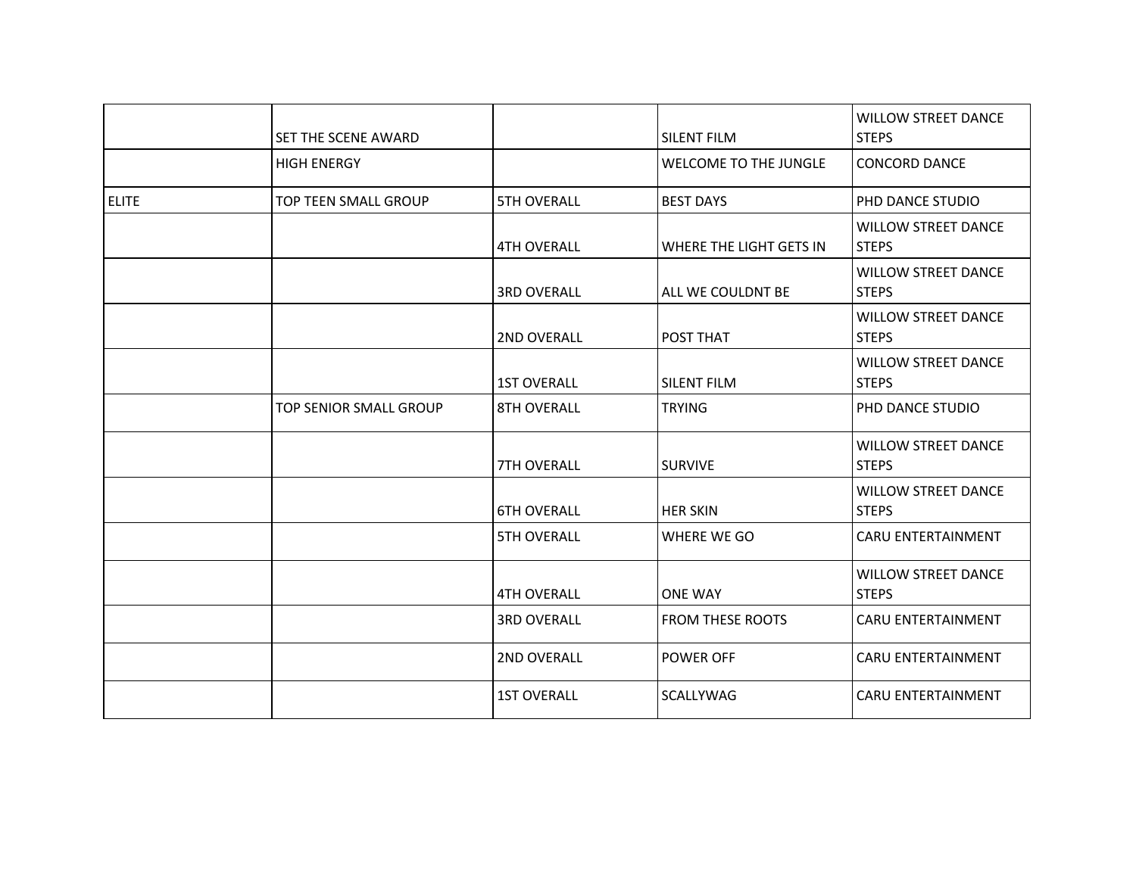|              | SET THE SCENE AWARD         |                    | SILENT FILM             | <b>WILLOW STREET DANCE</b><br><b>STEPS</b> |
|--------------|-----------------------------|--------------------|-------------------------|--------------------------------------------|
|              | <b>HIGH ENERGY</b>          |                    | WELCOME TO THE JUNGLE   | <b>CONCORD DANCE</b>                       |
| <b>ELITE</b> | <b>TOP TEEN SMALL GROUP</b> | <b>5TH OVERALL</b> | <b>BEST DAYS</b>        | PHD DANCE STUDIO                           |
|              |                             | <b>4TH OVERALL</b> | WHERE THE LIGHT GETS IN | <b>WILLOW STREET DANCE</b><br><b>STEPS</b> |
|              |                             | <b>3RD OVERALL</b> | ALL WE COULDNT BE       | <b>WILLOW STREET DANCE</b><br><b>STEPS</b> |
|              |                             | 2ND OVERALL        | POST THAT               | <b>WILLOW STREET DANCE</b><br><b>STEPS</b> |
|              |                             | <b>1ST OVERALL</b> | SILENT FILM             | <b>WILLOW STREET DANCE</b><br><b>STEPS</b> |
|              | TOP SENIOR SMALL GROUP      | <b>8TH OVERALL</b> | <b>TRYING</b>           | PHD DANCE STUDIO                           |
|              |                             | 7TH OVERALL        | <b>SURVIVE</b>          | <b>WILLOW STREET DANCE</b><br><b>STEPS</b> |
|              |                             | <b>6TH OVERALL</b> | <b>HER SKIN</b>         | <b>WILLOW STREET DANCE</b><br><b>STEPS</b> |
|              |                             | <b>5TH OVERALL</b> | WHERE WE GO             | CARU ENTERTAINMENT                         |
|              |                             | <b>4TH OVERALL</b> | <b>ONE WAY</b>          | <b>WILLOW STREET DANCE</b><br><b>STEPS</b> |
|              |                             | <b>3RD OVERALL</b> | <b>FROM THESE ROOTS</b> | CARU ENTERTAINMENT                         |
|              |                             | 2ND OVERALL        | POWER OFF               | CARU ENTERTAINMENT                         |
|              |                             | <b>1ST OVERALL</b> | <b>SCALLYWAG</b>        | CARU ENTERTAINMENT                         |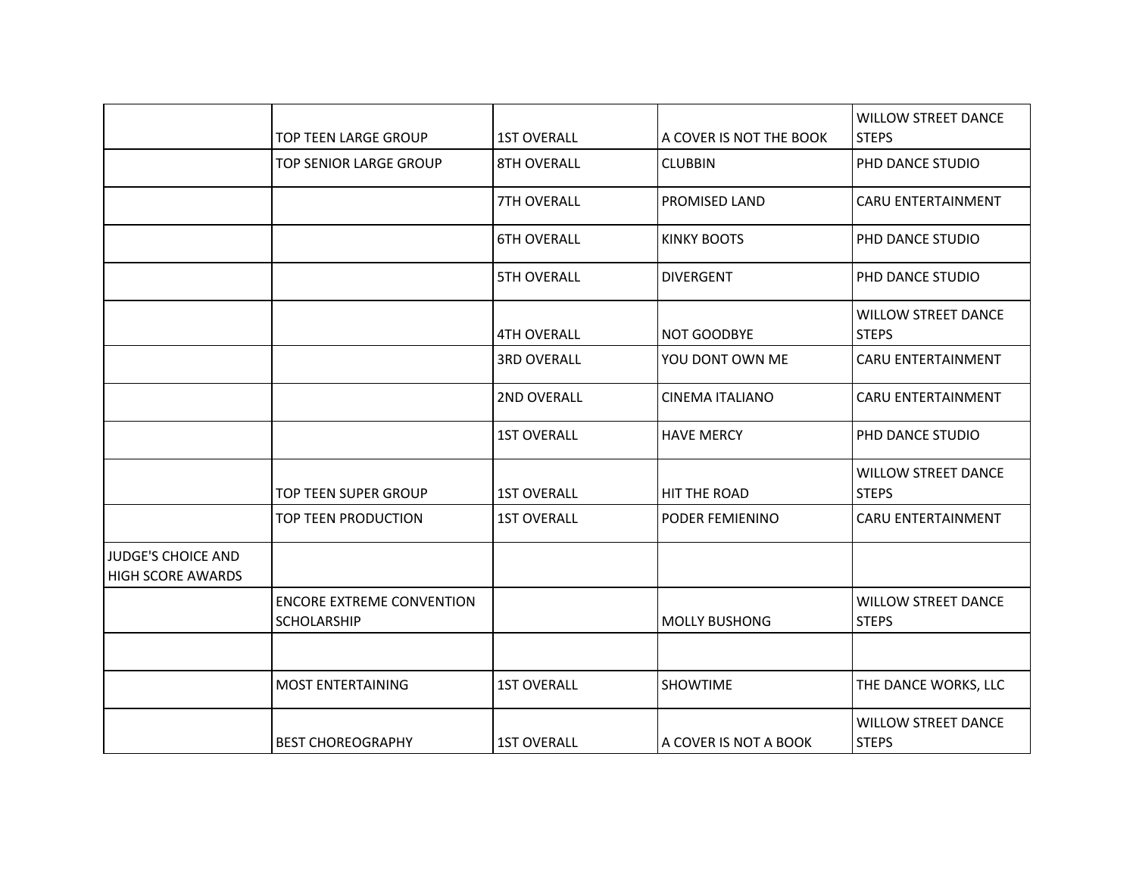|                                                       | <b>TOP TEEN LARGE GROUP</b>                            | <b>1ST OVERALL</b> | A COVER IS NOT THE BOOK | <b>WILLOW STREET DANCE</b><br><b>STEPS</b> |  |
|-------------------------------------------------------|--------------------------------------------------------|--------------------|-------------------------|--------------------------------------------|--|
|                                                       | TOP SENIOR LARGE GROUP                                 | <b>8TH OVERALL</b> | <b>CLUBBIN</b>          | PHD DANCE STUDIO                           |  |
|                                                       |                                                        | 7TH OVERALL        | PROMISED LAND           | CARU ENTERTAINMENT                         |  |
|                                                       |                                                        | <b>6TH OVERALL</b> | <b>KINKY BOOTS</b>      | PHD DANCE STUDIO                           |  |
|                                                       |                                                        | <b>5TH OVERALL</b> | <b>DIVERGENT</b>        | PHD DANCE STUDIO                           |  |
|                                                       |                                                        | <b>4TH OVERALL</b> | NOT GOODBYE             | <b>WILLOW STREET DANCE</b><br><b>STEPS</b> |  |
|                                                       |                                                        | <b>3RD OVERALL</b> | YOU DONT OWN ME         | <b>CARU ENTERTAINMENT</b>                  |  |
|                                                       |                                                        | 2ND OVERALL        | <b>CINEMA ITALIANO</b>  | <b>CARU ENTERTAINMENT</b>                  |  |
|                                                       |                                                        | <b>1ST OVERALL</b> | <b>HAVE MERCY</b>       | PHD DANCE STUDIO                           |  |
|                                                       | TOP TEEN SUPER GROUP                                   | <b>1ST OVERALL</b> | HIT THE ROAD            | <b>WILLOW STREET DANCE</b><br><b>STEPS</b> |  |
|                                                       | <b>TOP TEEN PRODUCTION</b>                             | <b>1ST OVERALL</b> | PODER FEMIENINO         | <b>CARU ENTERTAINMENT</b>                  |  |
| <b>JUDGE'S CHOICE AND</b><br><b>HIGH SCORE AWARDS</b> |                                                        |                    |                         |                                            |  |
|                                                       | <b>ENCORE EXTREME CONVENTION</b><br><b>SCHOLARSHIP</b> |                    | <b>MOLLY BUSHONG</b>    | <b>WILLOW STREET DANCE</b><br><b>STEPS</b> |  |
|                                                       |                                                        |                    |                         |                                            |  |
|                                                       | <b>MOST ENTERTAINING</b>                               | <b>1ST OVERALL</b> | <b>SHOWTIME</b>         | THE DANCE WORKS, LLC                       |  |
|                                                       | <b>BEST CHOREOGRAPHY</b>                               | <b>1ST OVERALL</b> | A COVER IS NOT A BOOK   | <b>WILLOW STREET DANCE</b><br><b>STEPS</b> |  |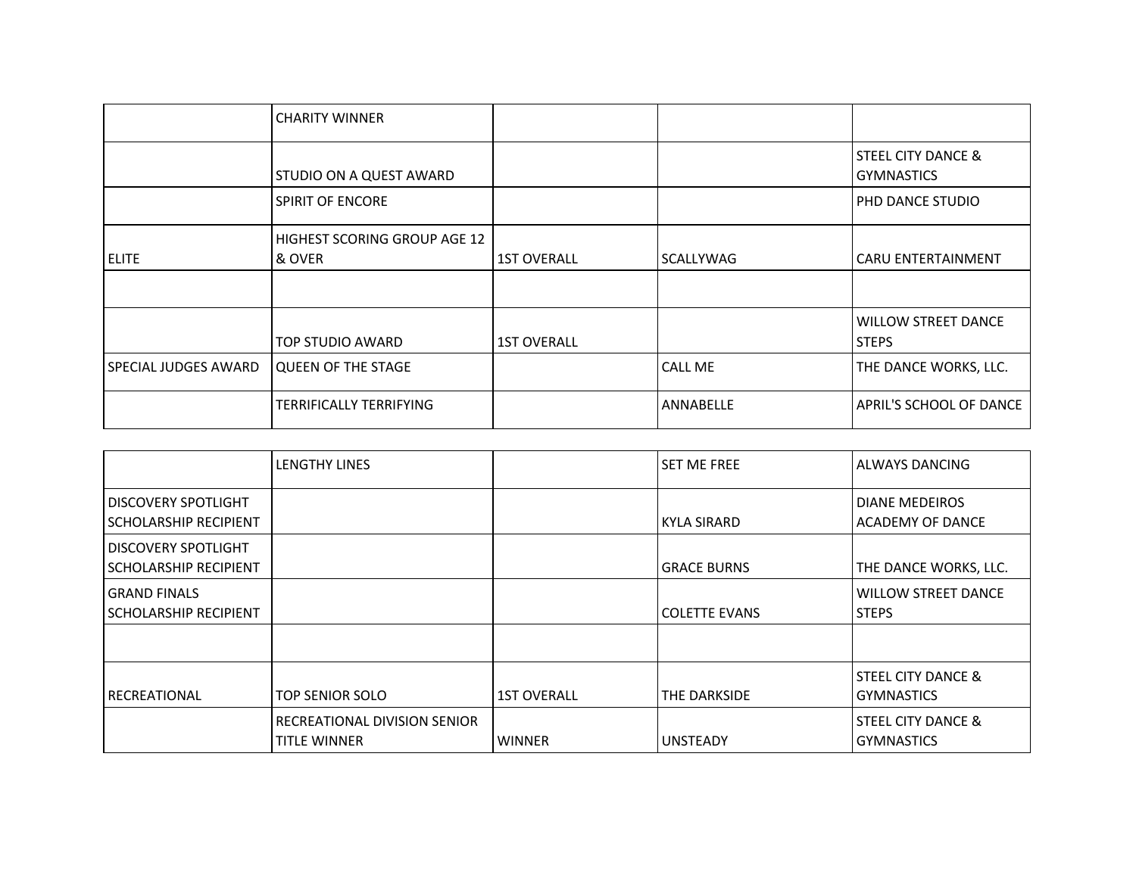|                      | <b>CHARITY WINNER</b>                  |                    |                |                                            |
|----------------------|----------------------------------------|--------------------|----------------|--------------------------------------------|
|                      | STUDIO ON A QUEST AWARD                |                    |                | STEEL CITY DANCE &<br><b>GYMNASTICS</b>    |
|                      | <b>SPIRIT OF ENCORE</b>                |                    |                | PHD DANCE STUDIO                           |
| I ELITE              | HIGHEST SCORING GROUP AGE 12<br>& OVER | <b>1ST OVERALL</b> | SCALLYWAG      | <b>CARU ENTERTAINMENT</b>                  |
|                      | TOP STUDIO AWARD                       | <b>1ST OVERALL</b> |                | <b>WILLOW STREET DANCE</b><br><b>STEPS</b> |
| SPECIAL JUDGES AWARD | <b>QUEEN OF THE STAGE</b>              |                    | <b>CALL ME</b> | THE DANCE WORKS, LLC.                      |
|                      | <b>TERRIFICALLY TERRIFYING</b>         |                    | ANNABELLE      | APRIL'S SCHOOL OF DANCE                    |

|                                                     | <b>LENGTHY LINES</b>                         |                    | <b>SET ME FREE</b>   | ALWAYS DANCING                             |
|-----------------------------------------------------|----------------------------------------------|--------------------|----------------------|--------------------------------------------|
| <b>DISCOVERY SPOTLIGHT</b><br>SCHOLARSHIP RECIPIENT |                                              |                    | KYLA SIRARD          | DIANE MEDEIROS<br>ACADEMY OF DANCE         |
| <b>DISCOVERY SPOTLIGHT</b><br>SCHOLARSHIP RECIPIENT |                                              |                    | <b>GRACE BURNS</b>   | THE DANCE WORKS, LLC.                      |
| <b>GRAND FINALS</b><br><b>SCHOLARSHIP RECIPIENT</b> |                                              |                    | <b>COLETTE EVANS</b> | <b>WILLOW STREET DANCE</b><br><b>STEPS</b> |
|                                                     |                                              |                    |                      |                                            |
| <b>RECREATIONAL</b>                                 | TOP SENIOR SOLO                              | <b>1ST OVERALL</b> | THE DARKSIDE         | STEEL CITY DANCE &<br><b>GYMNASTICS</b>    |
|                                                     | RECREATIONAL DIVISION SENIOR<br>TITLE WINNER | <b>WINNER</b>      | <b>UNSTEADY</b>      | STEEL CITY DANCE &<br><b>GYMNASTICS</b>    |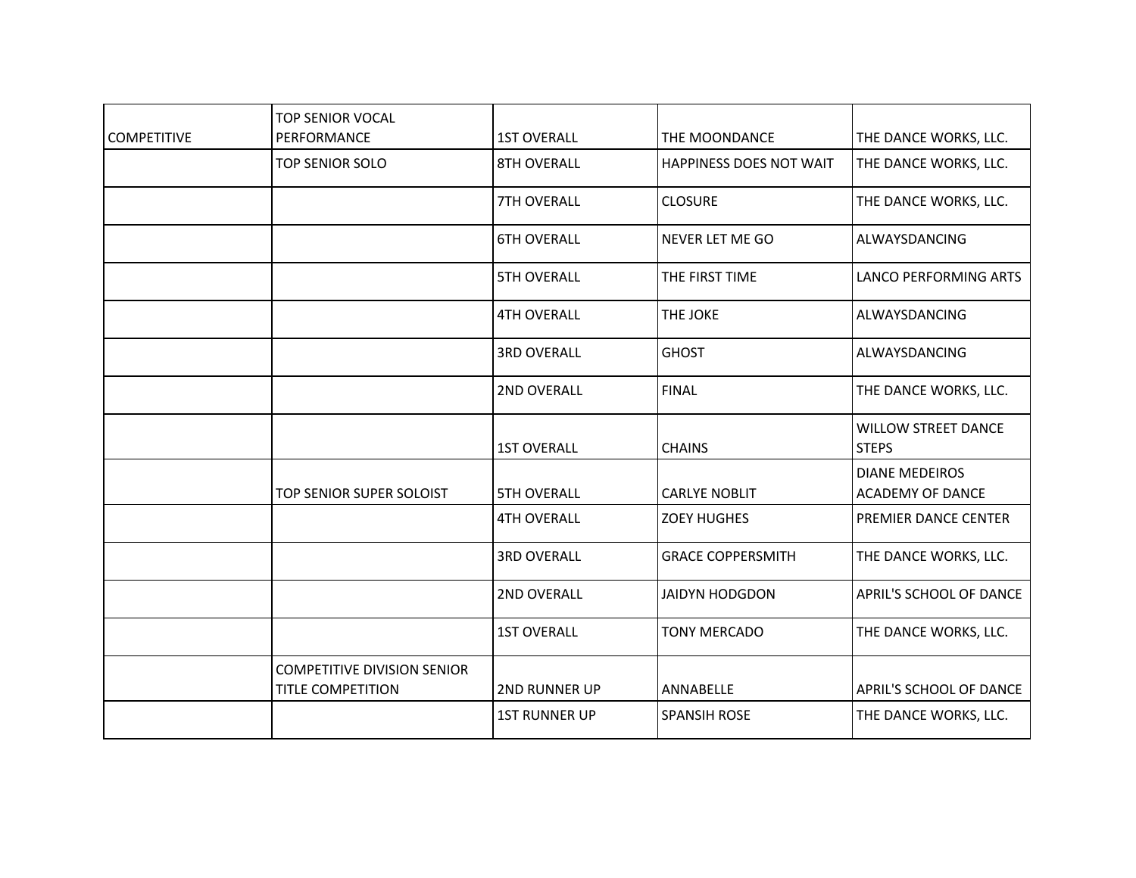|                    | <b>TOP SENIOR VOCAL</b>                                        |                      |                                |                                            |
|--------------------|----------------------------------------------------------------|----------------------|--------------------------------|--------------------------------------------|
| <b>COMPETITIVE</b> | PERFORMANCE                                                    | <b>1ST OVERALL</b>   | THE MOONDANCE                  | THE DANCE WORKS, LLC.                      |
|                    | <b>TOP SENIOR SOLO</b>                                         | <b>8TH OVERALL</b>   | <b>HAPPINESS DOES NOT WAIT</b> | THE DANCE WORKS, LLC.                      |
|                    |                                                                | 7TH OVERALL          | <b>CLOSURE</b>                 | THE DANCE WORKS, LLC.                      |
|                    |                                                                | <b>6TH OVERALL</b>   | NEVER LET ME GO                | ALWAYSDANCING                              |
|                    |                                                                | <b>5TH OVERALL</b>   | THE FIRST TIME                 | LANCO PERFORMING ARTS                      |
|                    |                                                                | <b>4TH OVERALL</b>   | THE JOKE                       | ALWAYSDANCING                              |
|                    |                                                                | <b>3RD OVERALL</b>   | <b>GHOST</b>                   | ALWAYSDANCING                              |
|                    |                                                                | 2ND OVERALL          | <b>FINAL</b>                   | THE DANCE WORKS, LLC.                      |
|                    |                                                                | <b>1ST OVERALL</b>   | <b>CHAINS</b>                  | <b>WILLOW STREET DANCE</b><br><b>STEPS</b> |
|                    | TOP SENIOR SUPER SOLOIST                                       | <b>5TH OVERALL</b>   | <b>CARLYE NOBLIT</b>           | <b>DIANE MEDEIROS</b><br>ACADEMY OF DANCE  |
|                    |                                                                | <b>4TH OVERALL</b>   | <b>ZOEY HUGHES</b>             | PREMIER DANCE CENTER                       |
|                    |                                                                | <b>3RD OVERALL</b>   | <b>GRACE COPPERSMITH</b>       | THE DANCE WORKS, LLC.                      |
|                    |                                                                | 2ND OVERALL          | <b>JAIDYN HODGDON</b>          | APRIL'S SCHOOL OF DANCE                    |
|                    |                                                                | <b>1ST OVERALL</b>   | <b>TONY MERCADO</b>            | THE DANCE WORKS, LLC.                      |
|                    | <b>COMPETITIVE DIVISION SENIOR</b><br><b>TITLE COMPETITION</b> | 2ND RUNNER UP        | ANNABELLE                      | APRIL'S SCHOOL OF DANCE                    |
|                    |                                                                | <b>1ST RUNNER UP</b> | <b>SPANSIH ROSE</b>            | THE DANCE WORKS, LLC.                      |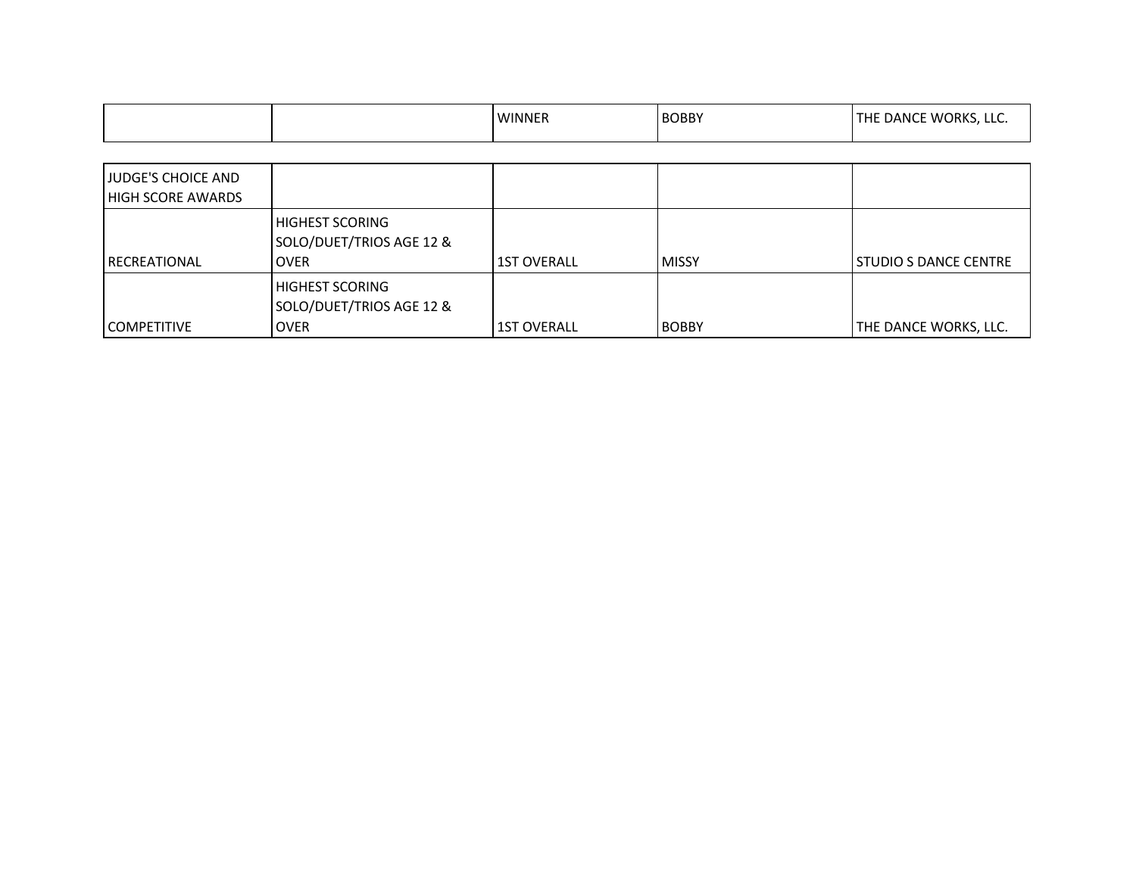|  | WINNFR | <b>BOBBY</b> | <b>WORKS</b><br>DANC<br>LLL. |
|--|--------|--------------|------------------------------|
|  |        |              |                              |

| <b>JUDGE'S CHOICE AND</b><br><b>HIGH SCORE AWARDS</b> |                                                              |                    |              |                       |
|-------------------------------------------------------|--------------------------------------------------------------|--------------------|--------------|-----------------------|
| <b>IRECREATIONAL</b>                                  | HIGHEST SCORING<br>SOLO/DUET/TRIOS AGE 12 &<br><b>OVER</b>   | <b>1ST OVERALL</b> | <b>MISSY</b> | STUDIO S DANCE CENTRE |
| <b>COMPETITIVE</b>                                    | l HIGHEST SCORING<br>SOLO/DUET/TRIOS AGE 12 &<br><b>OVER</b> | <b>1ST OVERALL</b> | <b>BOBBY</b> | THE DANCE WORKS, LLC. |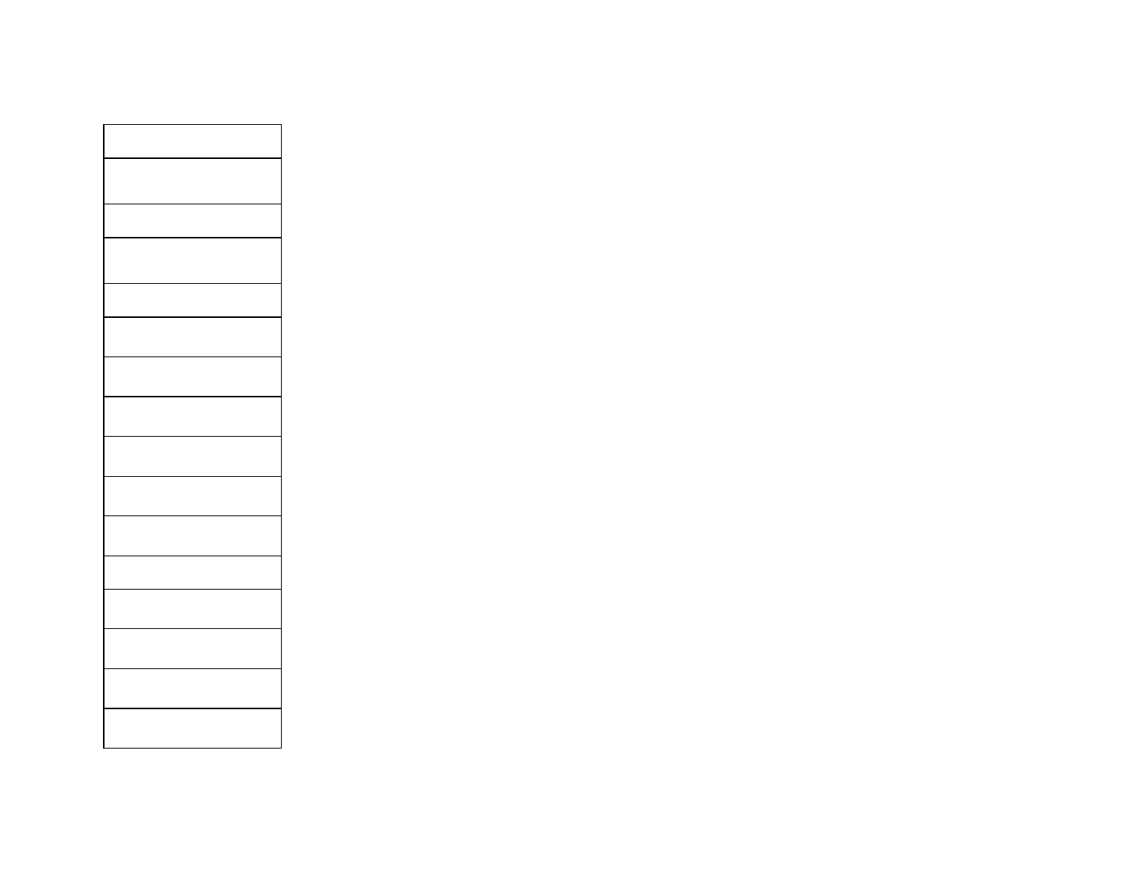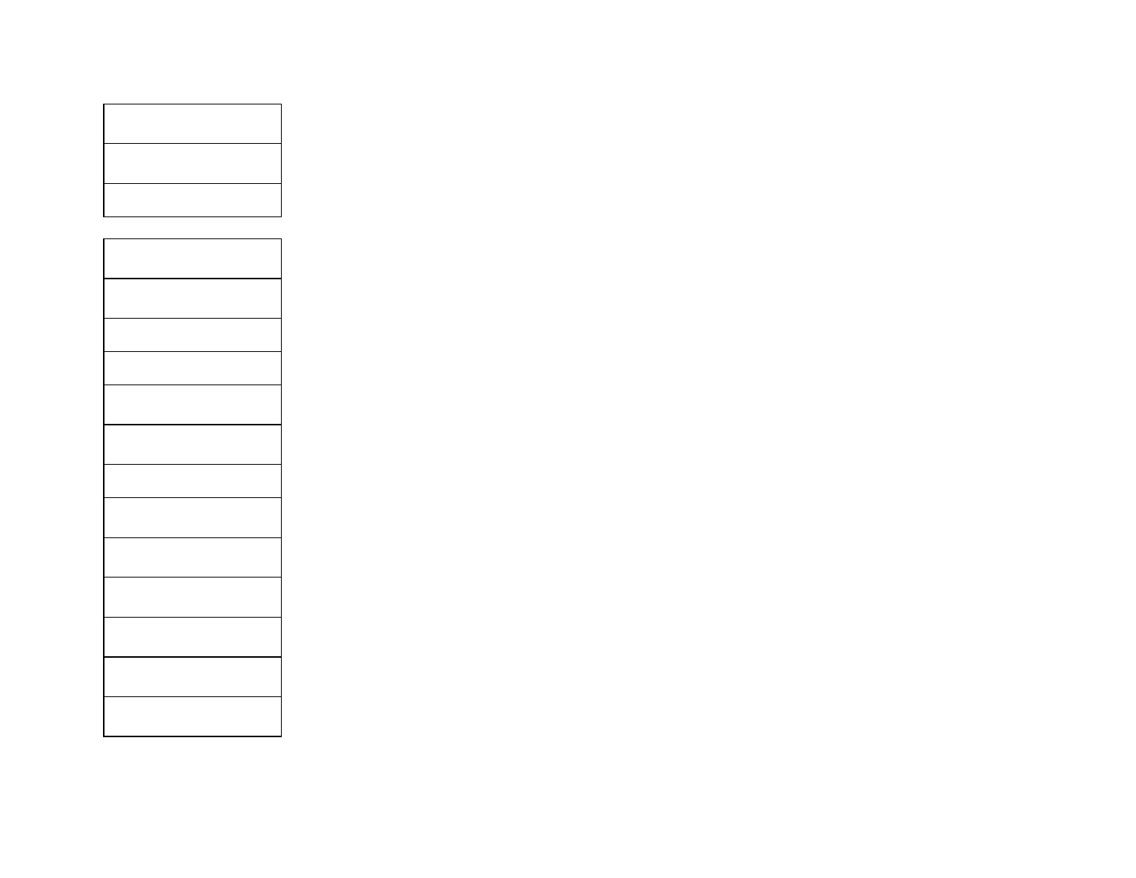

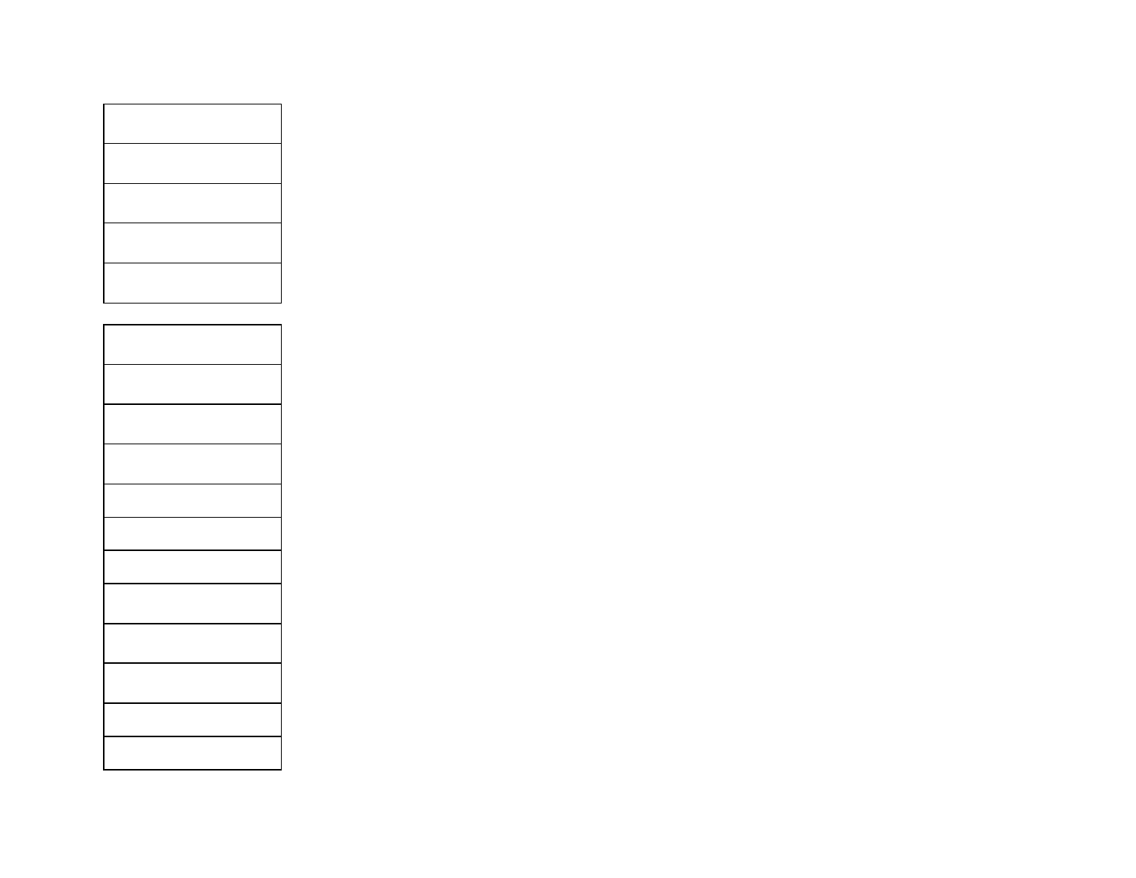| the control of the control of the control of |                                                                                 |  |              |
|----------------------------------------------|---------------------------------------------------------------------------------|--|--------------|
|                                              |                                                                                 |  |              |
|                                              | the control of the control of the control of                                    |  |              |
|                                              | the contract of the contract of the contract of the contract of the contract of |  | <b>STATE</b> |
|                                              |                                                                                 |  |              |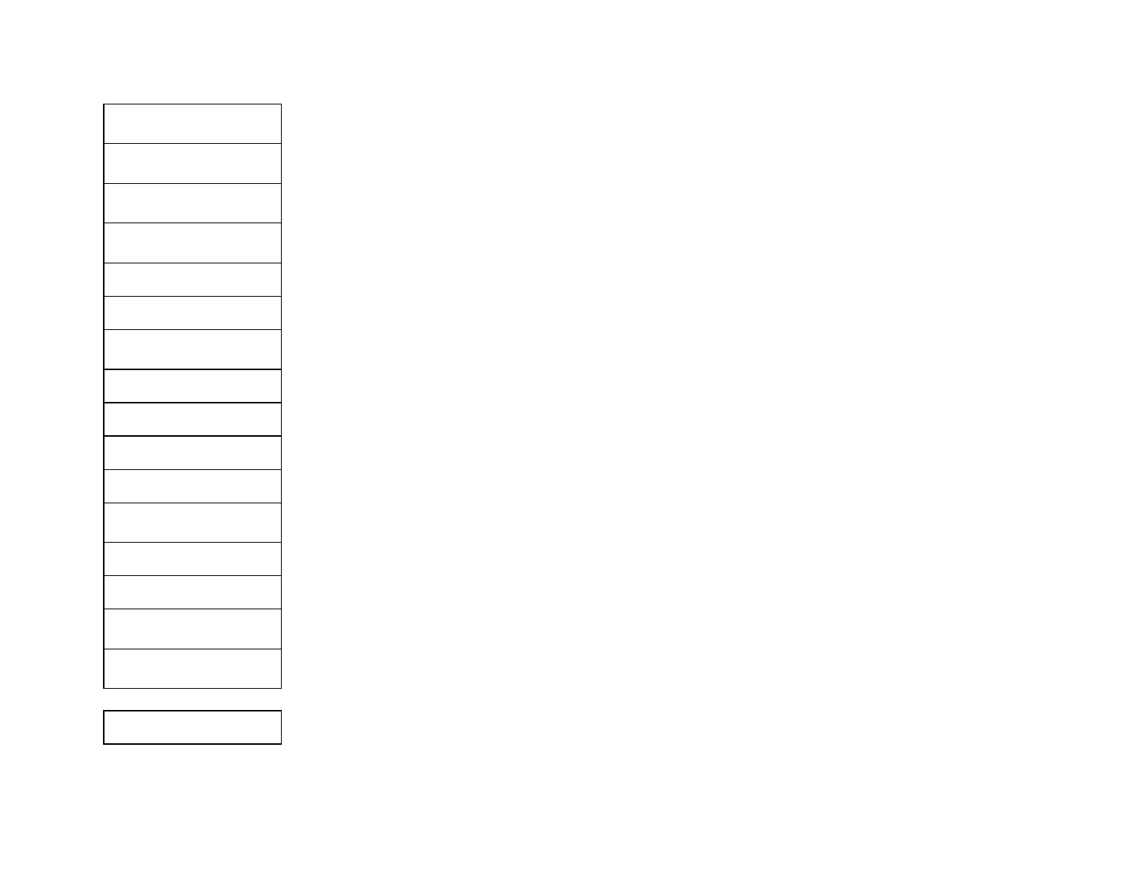

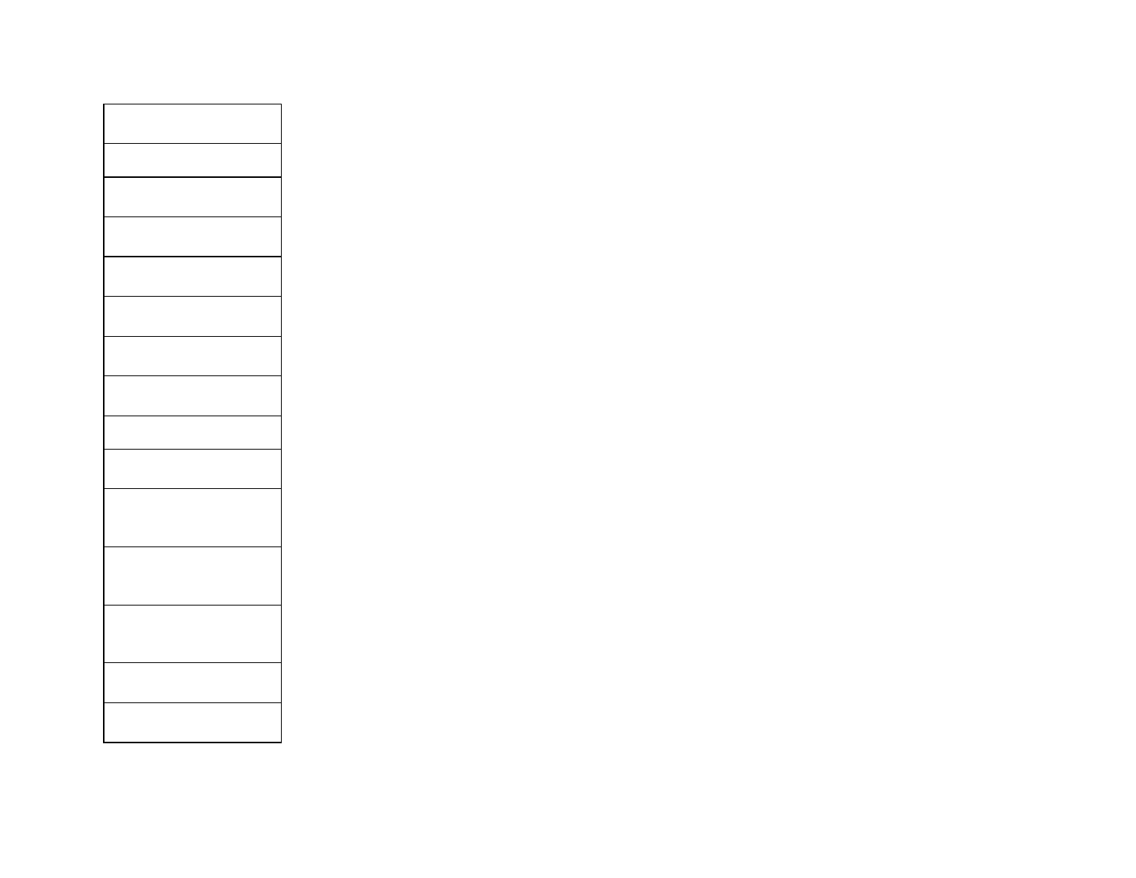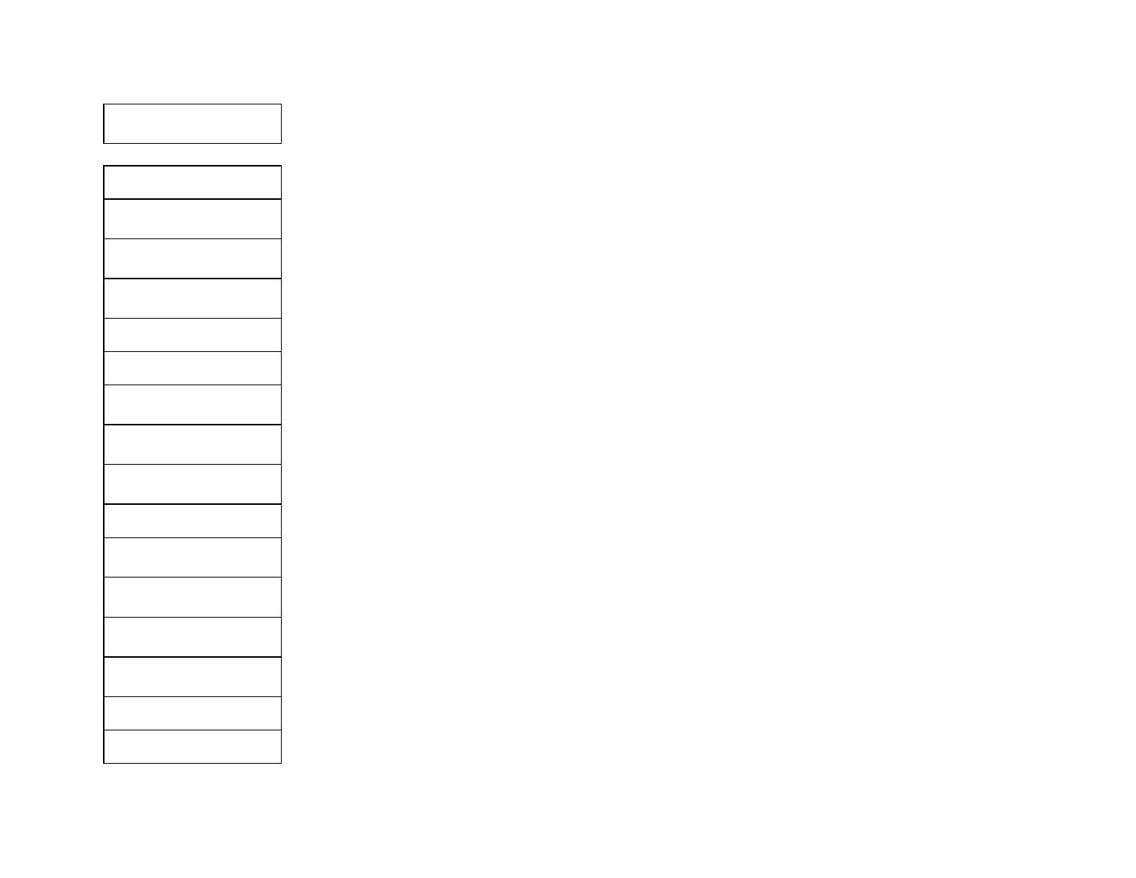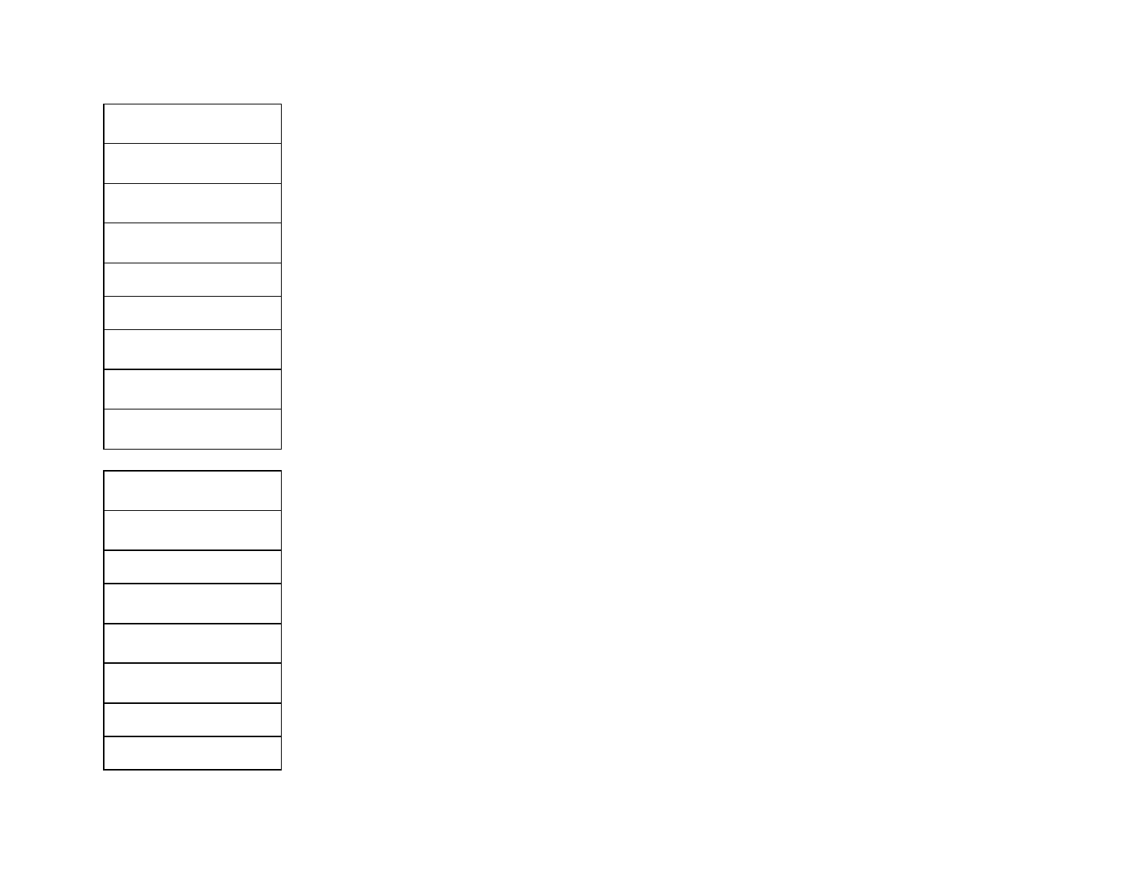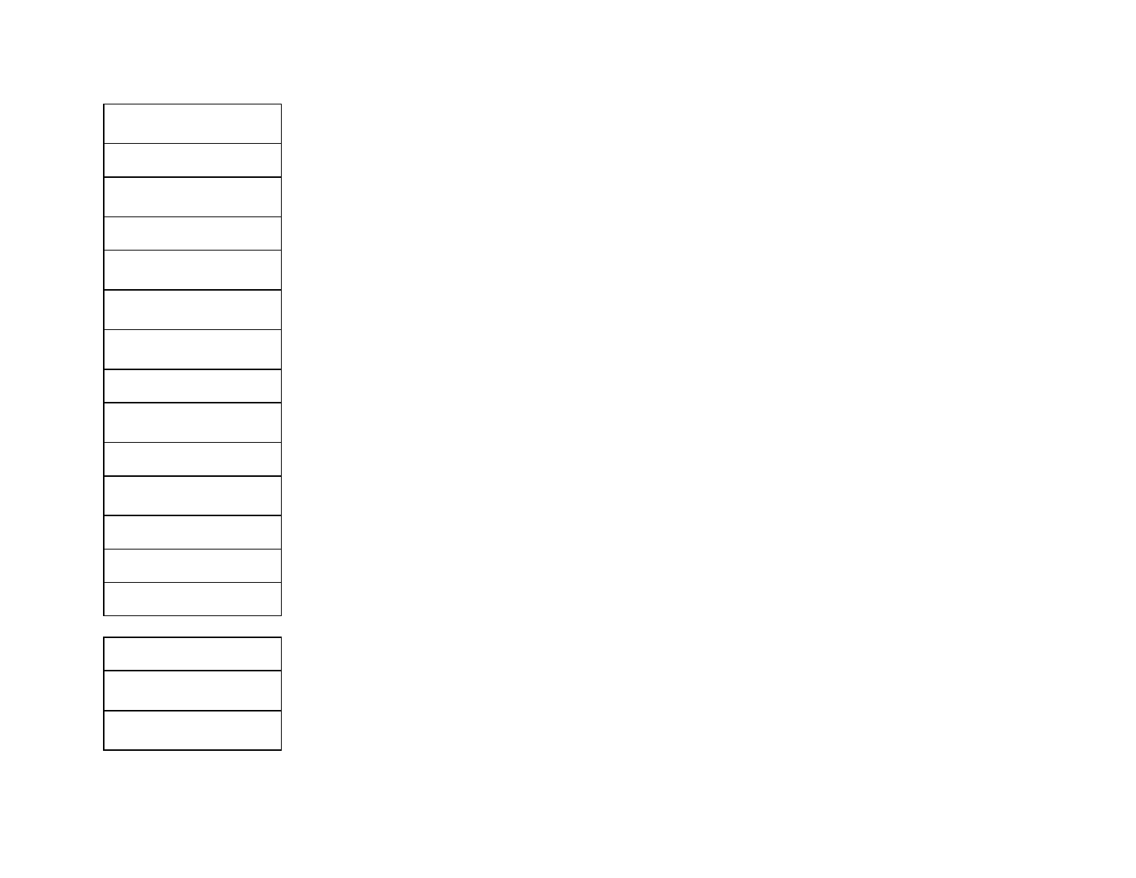

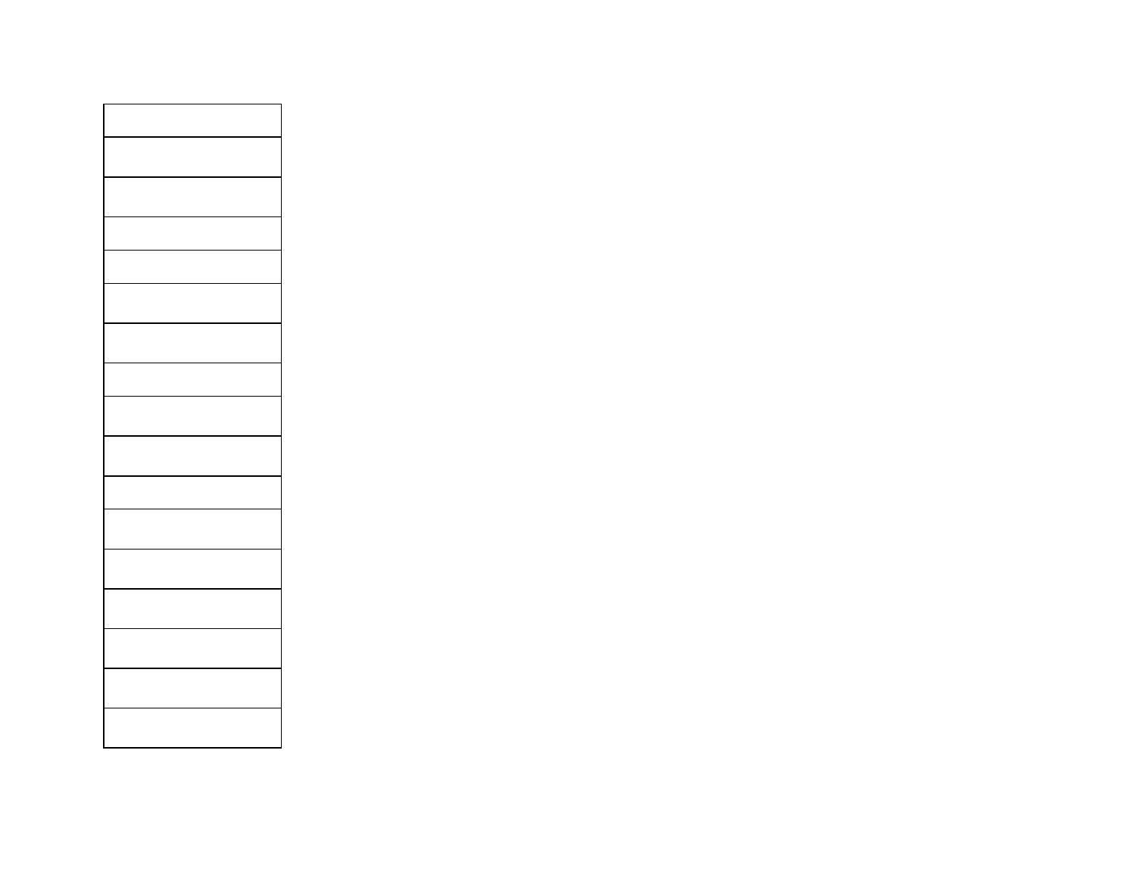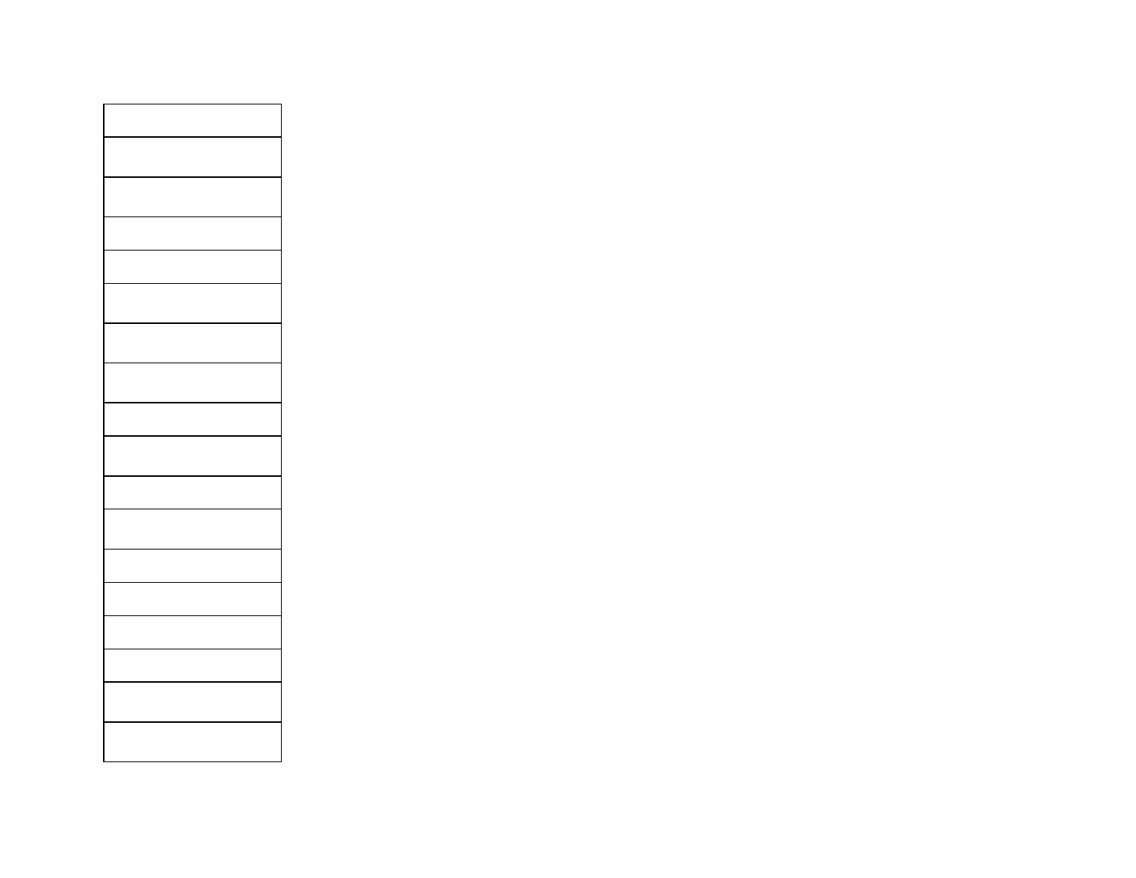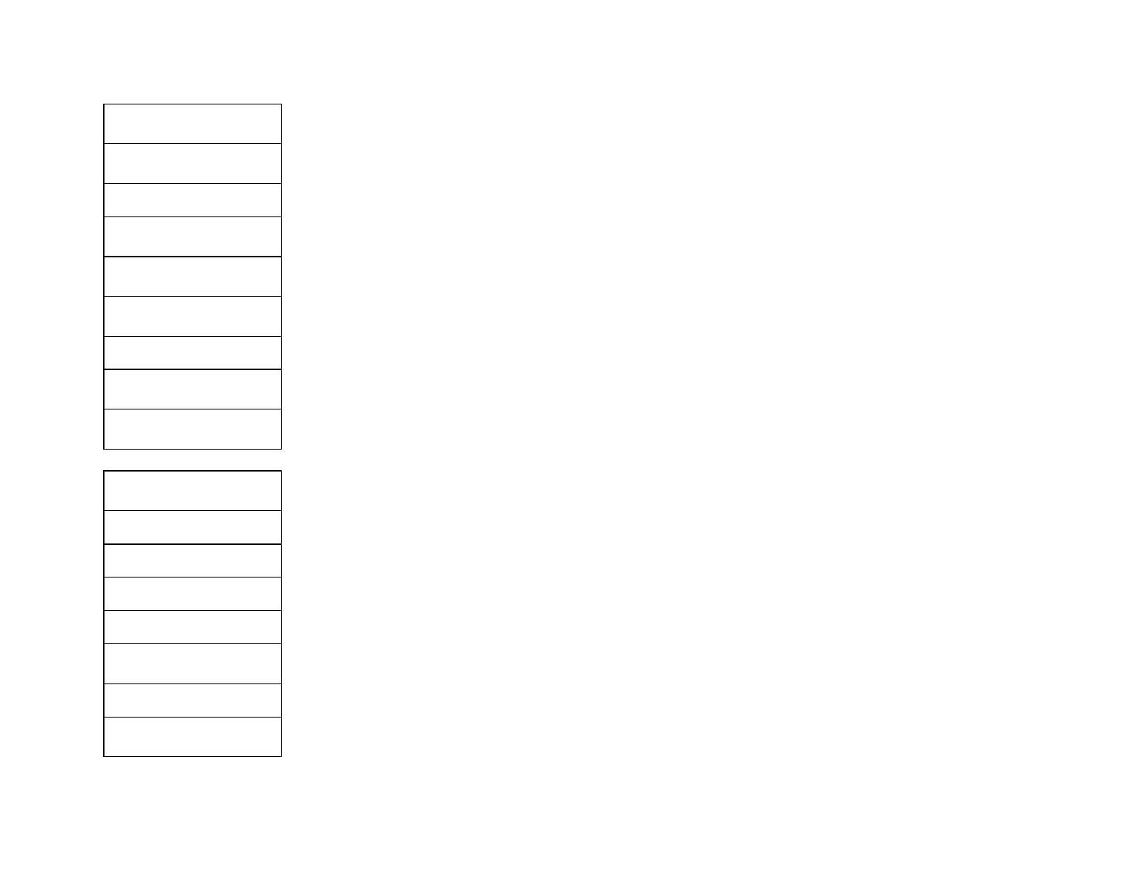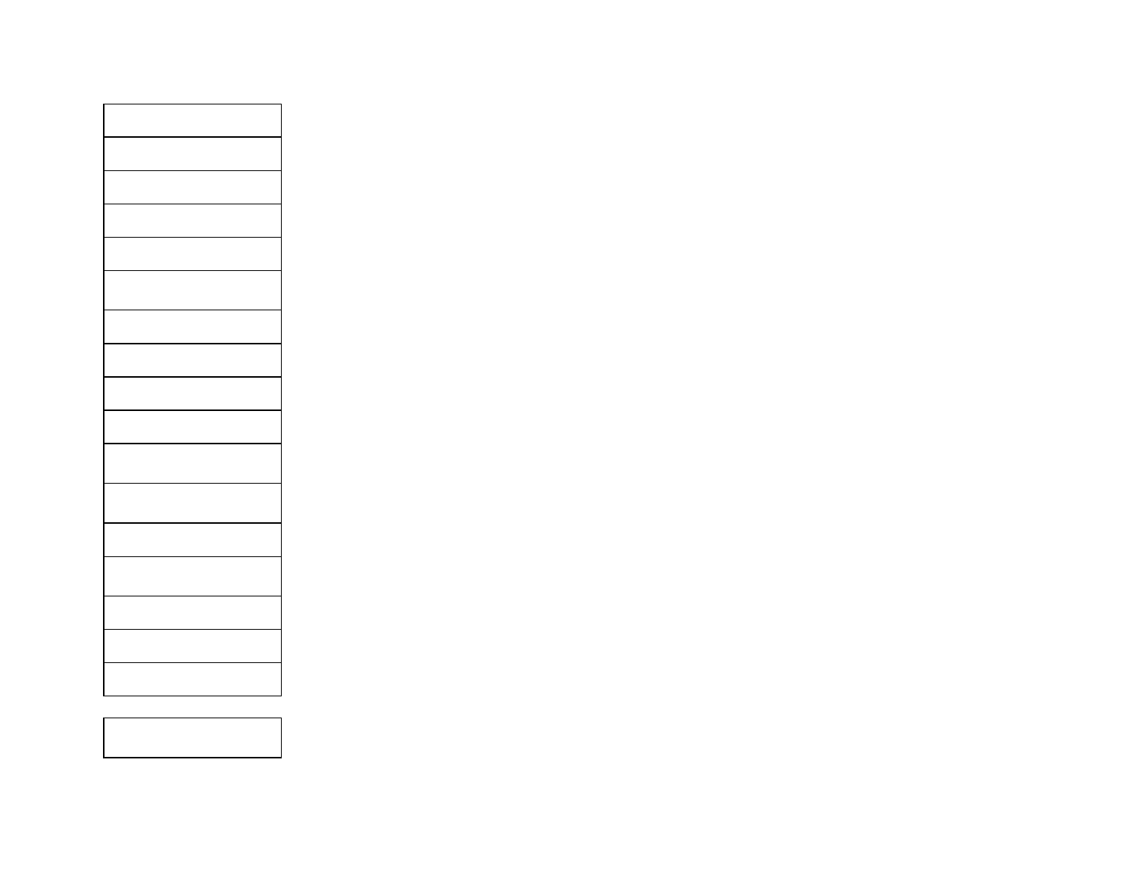

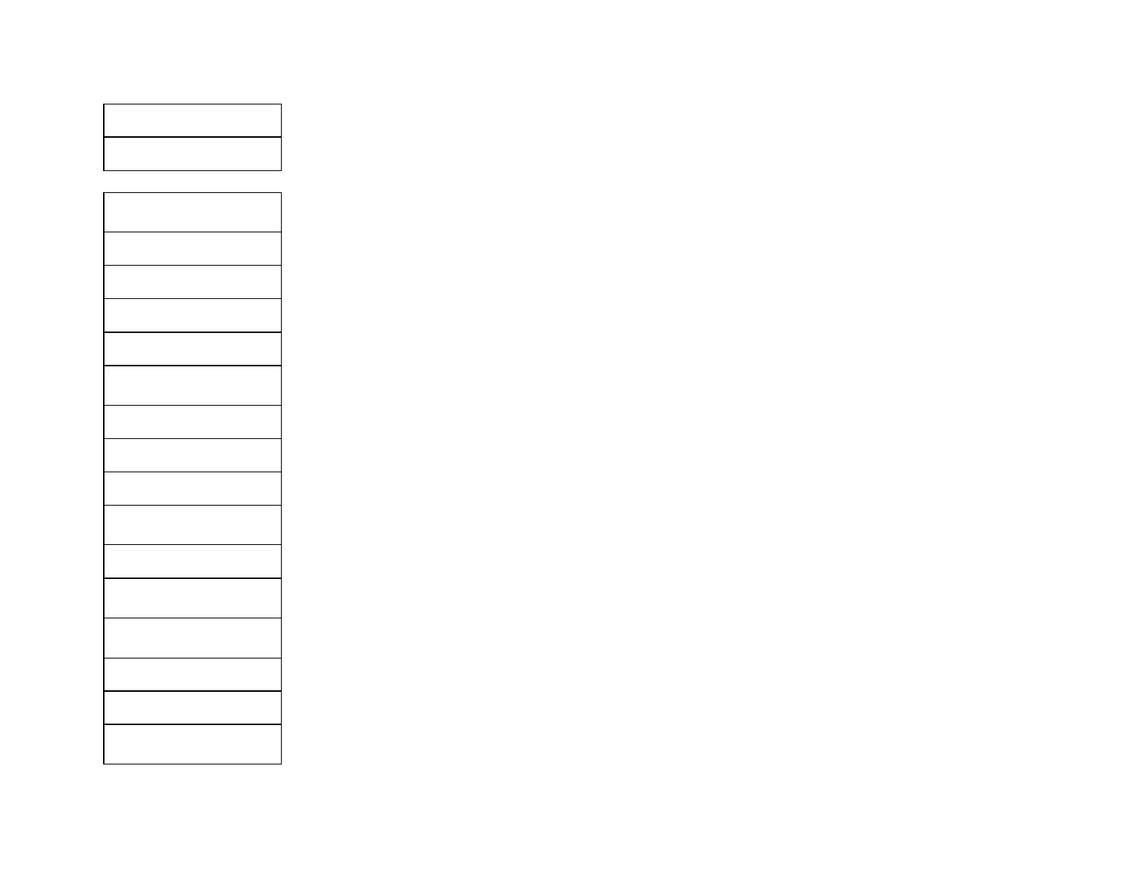

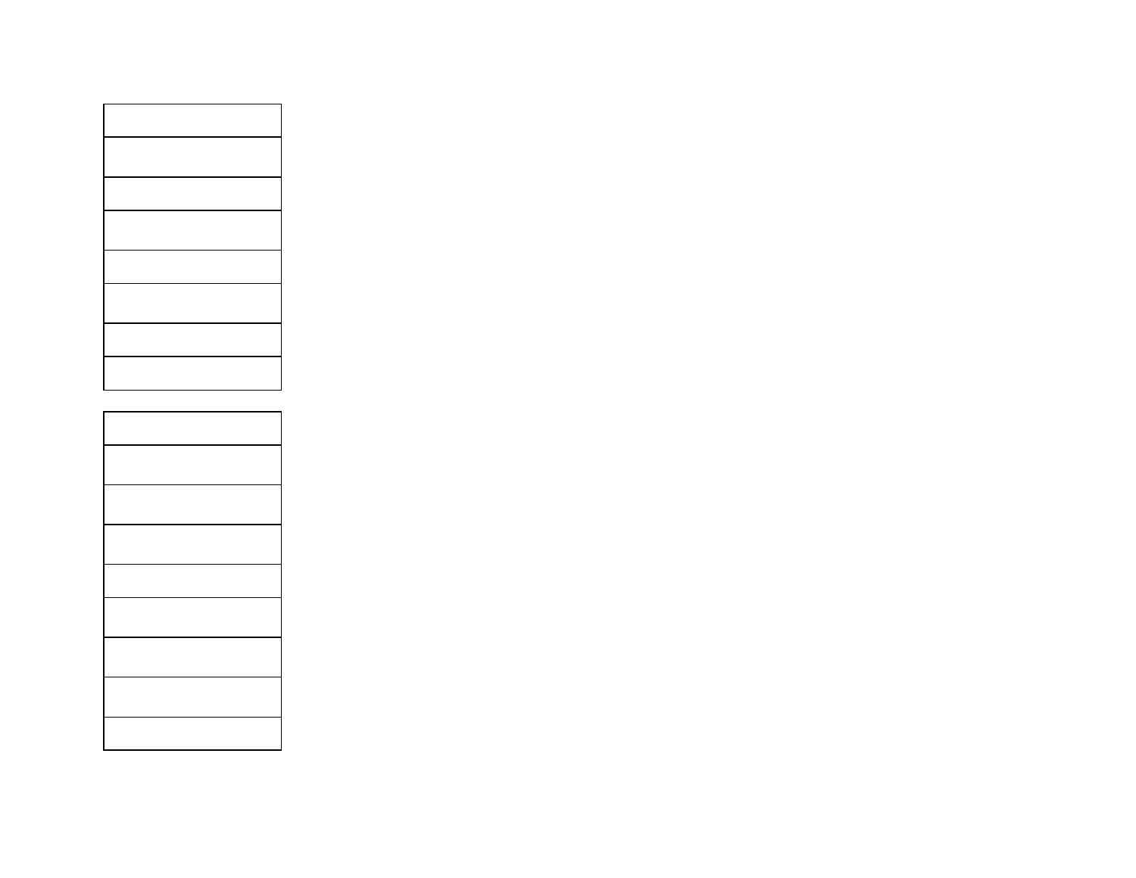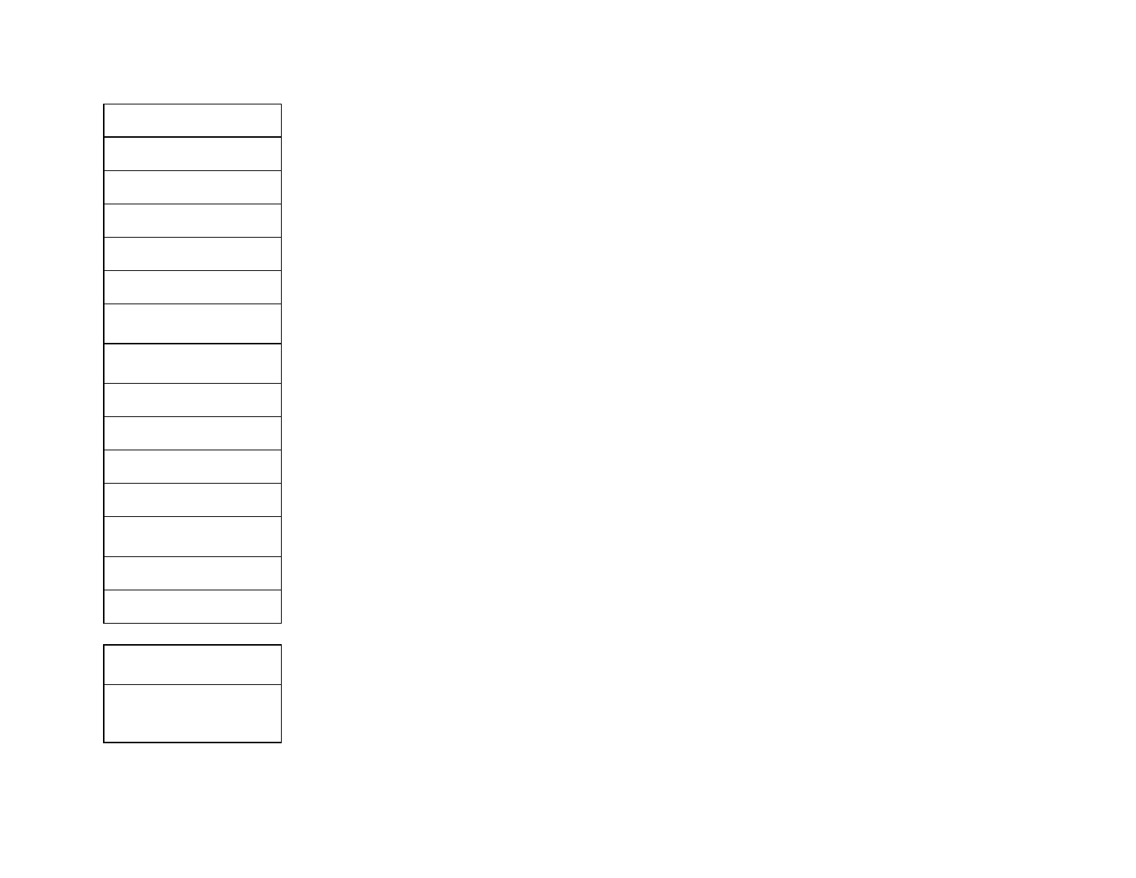